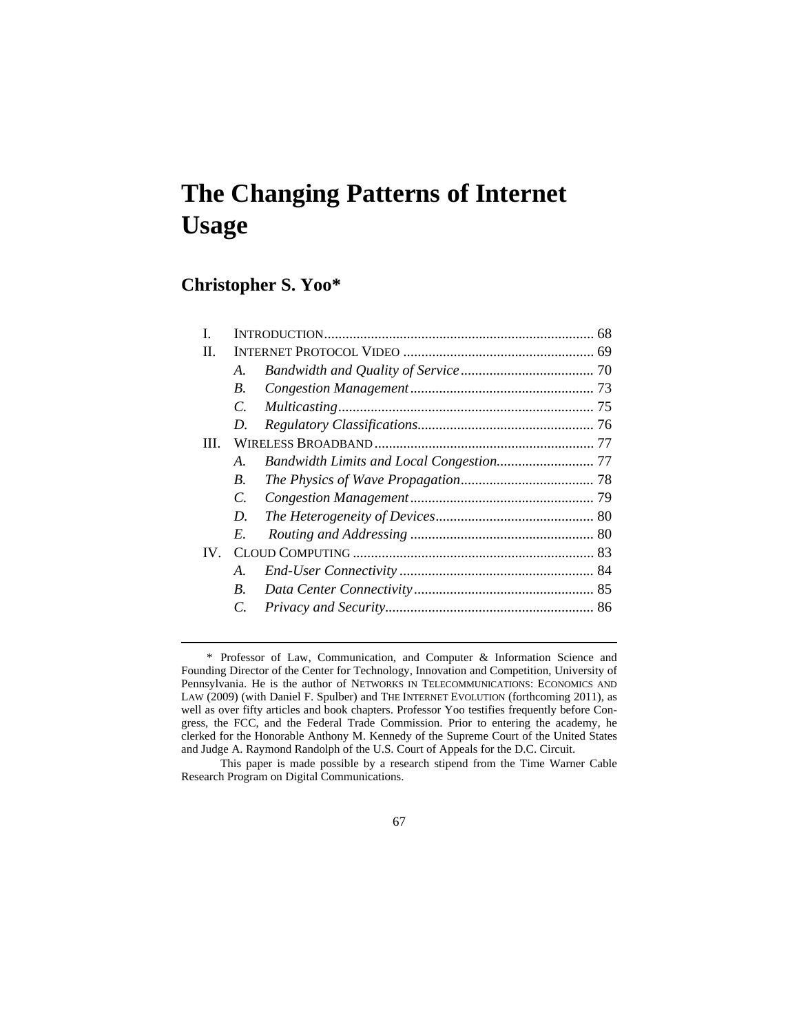# **The Changing Patterns of Internet Usage**

# **Christopher S. Yoo\***

| H.       |                 |  |  |
|----------|-----------------|--|--|
|          | A.              |  |  |
|          | B.              |  |  |
|          | C.              |  |  |
|          | D.              |  |  |
| HТ       |                 |  |  |
|          | $A_{\cdot}$     |  |  |
|          | B.              |  |  |
|          | $\mathcal{C}$ . |  |  |
|          | D.              |  |  |
|          | E.              |  |  |
| $IV_{-}$ |                 |  |  |
|          | $A_{\cdot}$     |  |  |
|          | B.              |  |  |
|          | $\mathcal{C}$   |  |  |
|          |                 |  |  |

 <sup>\*</sup> Professor of Law, Communication, and Computer & Information Science and Founding Director of the Center for Technology, Innovation and Competition, University of Pennsylvania. He is the author of NETWORKS IN TELECOMMUNICATIONS: ECONOMICS AND LAW (2009) (with Daniel F. Spulber) and THE INTERNET EVOLUTION (forthcoming 2011), as well as over fifty articles and book chapters. Professor Yoo testifies frequently before Congress, the FCC, and the Federal Trade Commission. Prior to entering the academy, he clerked for the Honorable Anthony M. Kennedy of the Supreme Court of the United States and Judge A. Raymond Randolph of the U.S. Court of Appeals for the D.C. Circuit.

This paper is made possible by a research stipend from the Time Warner Cable Research Program on Digital Communications.

<sup>67</sup>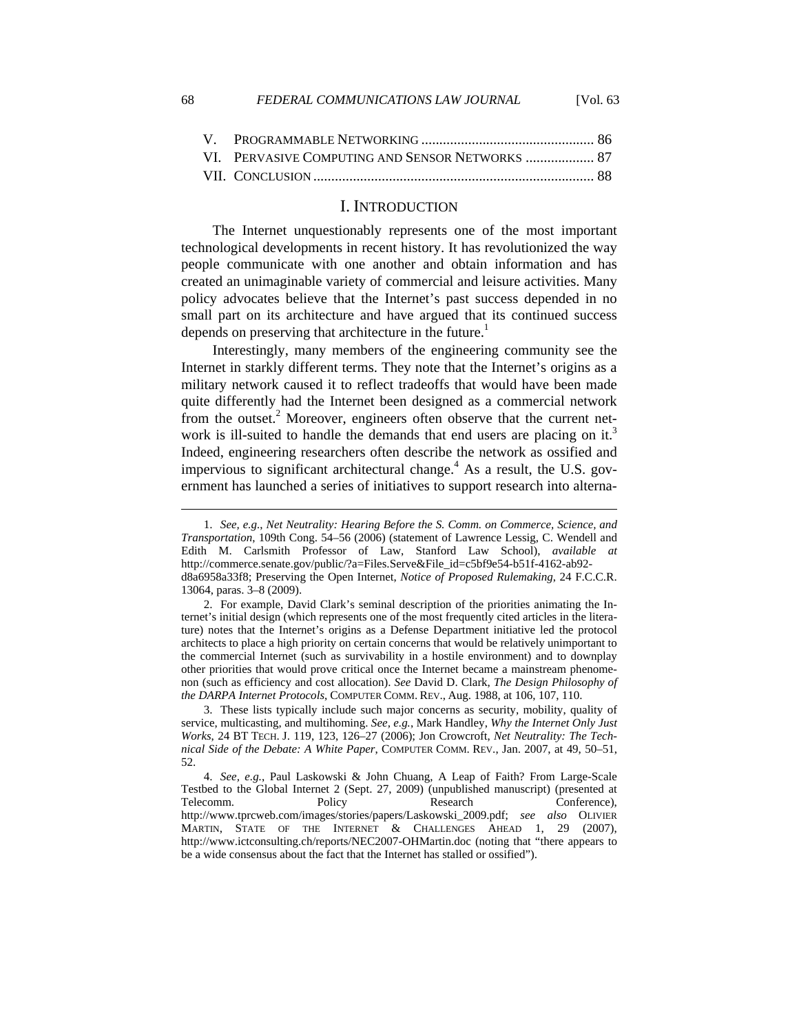# I. INTRODUCTION

The Internet unquestionably represents one of the most important technological developments in recent history. It has revolutionized the way people communicate with one another and obtain information and has created an unimaginable variety of commercial and leisure activities. Many policy advocates believe that the Internet's past success depended in no small part on its architecture and have argued that its continued success depends on preserving that architecture in the future.<sup>1</sup>

Interestingly, many members of the engineering community see the Internet in starkly different terms. They note that the Internet's origins as a military network caused it to reflect tradeoffs that would have been made quite differently had the Internet been designed as a commercial network from the outset.<sup>2</sup> Moreover, engineers often observe that the current network is ill-suited to handle the demands that end users are placing on it.<sup>3</sup> Indeed, engineering researchers often describe the network as ossified and impervious to significant architectural change.<sup>4</sup> As a result, the U.S. government has launched a series of initiatives to support research into alterna-

 3. These lists typically include such major concerns as security, mobility, quality of service, multicasting, and multihoming. *See, e.g.*, Mark Handley, *Why the Internet Only Just Works*, 24 BT TECH. J. 119, 123, 126–27 (2006); Jon Crowcroft, *Net Neutrality: The Technical Side of the Debate: A White Paper*, COMPUTER COMM. REV., Jan. 2007, at 49, 50–51, 52.

 <sup>1.</sup> *See, e.g.*, *Net Neutrality: Hearing Before the S. Comm. on Commerce, Science, and Transportation*, 109th Cong. 54–56 (2006) (statement of Lawrence Lessig, C. Wendell and Edith M. Carlsmith Professor of Law, Stanford Law School), *available at* http://commerce.senate.gov/public/?a=Files.Serve&File\_id=c5bf9e54-b51f-4162-ab92 d8a6958a33f8; Preserving the Open Internet, *Notice of Proposed Rulemaking*, 24 F.C.C.R. 13064, paras. 3–8 (2009).

 <sup>2.</sup> For example, David Clark's seminal description of the priorities animating the Internet's initial design (which represents one of the most frequently cited articles in the literature) notes that the Internet's origins as a Defense Department initiative led the protocol architects to place a high priority on certain concerns that would be relatively unimportant to the commercial Internet (such as survivability in a hostile environment) and to downplay other priorities that would prove critical once the Internet became a mainstream phenomenon (such as efficiency and cost allocation). *See* David D. Clark, *The Design Philosophy of the DARPA Internet Protocols*, COMPUTER COMM. REV., Aug. 1988, at 106, 107, 110.

 <sup>4.</sup> *See, e.g.*, Paul Laskowski & John Chuang, A Leap of Faith? From Large-Scale Testbed to the Global Internet 2 (Sept. 27, 2009) (unpublished manuscript) (presented at Telecomm. Policy Research Conference), http://www.tprcweb.com/images/stories/papers/Laskowski\_2009.pdf; *see also* OLIVIER MARTIN, STATE OF THE INTERNET & CHALLENGES AHEAD 1, 29 (2007), http://www.ictconsulting.ch/reports/NEC2007-OHMartin.doc (noting that "there appears to be a wide consensus about the fact that the Internet has stalled or ossified").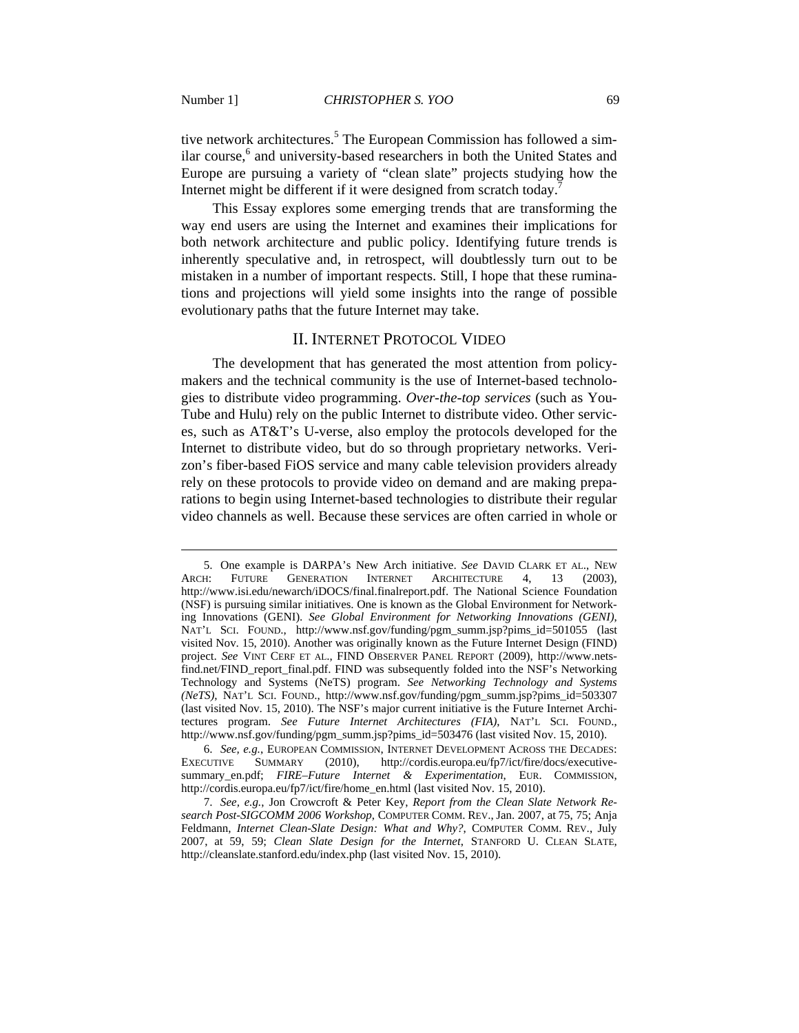tive network architectures.<sup>5</sup> The European Commission has followed a similar course,<sup>6</sup> and university-based researchers in both the United States and Europe are pursuing a variety of "clean slate" projects studying how the Internet might be different if it were designed from scratch today.<sup>7</sup>

This Essay explores some emerging trends that are transforming the way end users are using the Internet and examines their implications for both network architecture and public policy. Identifying future trends is inherently speculative and, in retrospect, will doubtlessly turn out to be mistaken in a number of important respects. Still, I hope that these ruminations and projections will yield some insights into the range of possible evolutionary paths that the future Internet may take.

# II. INTERNET PROTOCOL VIDEO

The development that has generated the most attention from policymakers and the technical community is the use of Internet-based technologies to distribute video programming. *Over-the-top services* (such as You-Tube and Hulu) rely on the public Internet to distribute video. Other services, such as AT&T's U-verse, also employ the protocols developed for the Internet to distribute video, but do so through proprietary networks. Verizon's fiber-based FiOS service and many cable television providers already rely on these protocols to provide video on demand and are making preparations to begin using Internet-based technologies to distribute their regular video channels as well. Because these services are often carried in whole or

 <sup>5.</sup> One example is DARPA's New Arch initiative. *See* DAVID CLARK ET AL., NEW ARCH: FUTURE GENERATION INTERNET ARCHITECTURE 4, 13 (2003), http://www.isi.edu/newarch/iDOCS/final.finalreport.pdf. The National Science Foundation (NSF) is pursuing similar initiatives. One is known as the Global Environment for Networking Innovations (GENI). *See Global Environment for Networking Innovations (GENI)*, NAT'L SCI. FOUND., http://www.nsf.gov/funding/pgm\_summ.jsp?pims\_id=501055 (last visited Nov. 15, 2010). Another was originally known as the Future Internet Design (FIND) project. *See* VINT CERF ET AL., FIND OBSERVER PANEL REPORT (2009), http://www.netsfind.net/FIND\_report\_final.pdf. FIND was subsequently folded into the NSF's Networking Technology and Systems (NeTS) program. *See Networking Technology and Systems (NeTS)*, NAT'L SCI. FOUND., http://www.nsf.gov/funding/pgm\_summ.jsp?pims\_id=503307 (last visited Nov. 15, 2010). The NSF's major current initiative is the Future Internet Architectures program. *See Future Internet Architectures (FIA)*, NAT'L SCI. FOUND., http://www.nsf.gov/funding/pgm\_summ.jsp?pims\_id=503476 (last visited Nov. 15, 2010).

 <sup>6.</sup> *See, e.g.*, EUROPEAN COMMISSION, INTERNET DEVELOPMENT ACROSS THE DECADES: EXECUTIVE SUMMARY (2010), http://cordis.europa.eu/fp7/ict/fire/docs/executivesummary\_en.pdf; *FIRE–Future Internet & Experimentation*, EUR. COMMISSION, http://cordis.europa.eu/fp7/ict/fire/home\_en.html (last visited Nov. 15, 2010).

 <sup>7.</sup> *See, e.g.*, Jon Crowcroft & Peter Key, *Report from the Clean Slate Network Research Post-SIGCOMM 2006 Workshop*, COMPUTER COMM. REV., Jan. 2007, at 75, 75; Anja Feldmann, *Internet Clean-Slate Design: What and Why?*, COMPUTER COMM. REV., July 2007, at 59, 59; *Clean Slate Design for the Internet*, STANFORD U. CLEAN SLATE, http://cleanslate.stanford.edu/index.php (last visited Nov. 15, 2010).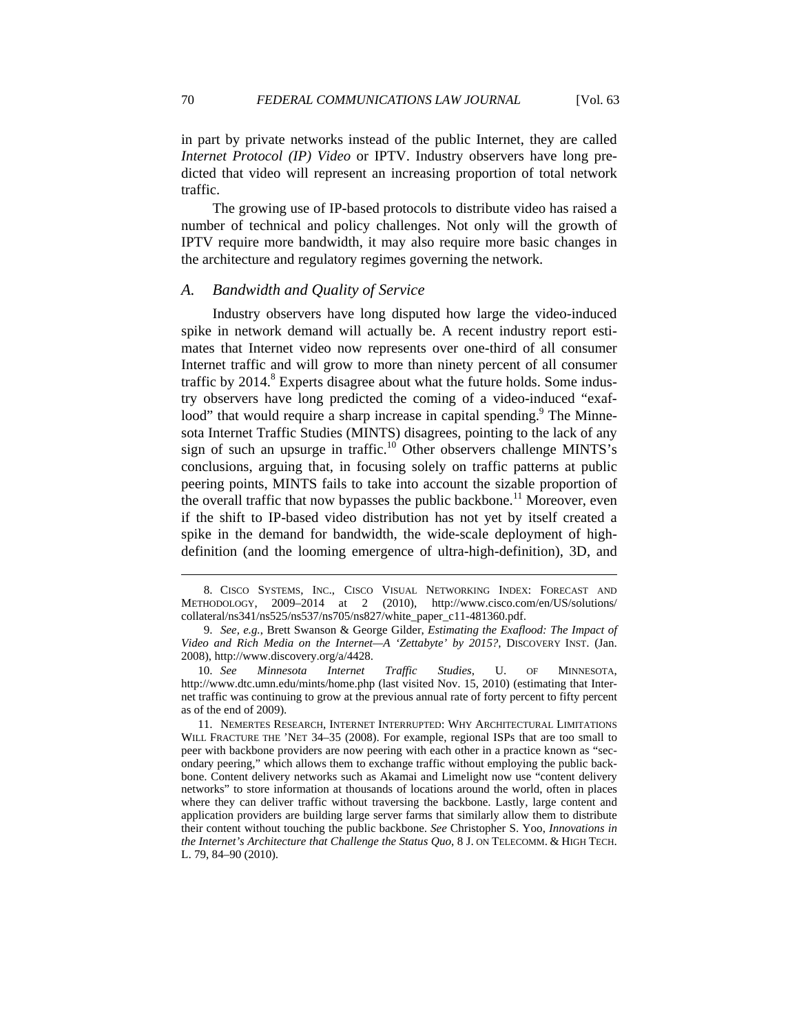in part by private networks instead of the public Internet, they are called *Internet Protocol (IP) Video* or IPTV. Industry observers have long predicted that video will represent an increasing proportion of total network traffic.

The growing use of IP-based protocols to distribute video has raised a number of technical and policy challenges. Not only will the growth of IPTV require more bandwidth, it may also require more basic changes in the architecture and regulatory regimes governing the network.

# *A. Bandwidth and Quality of Service*

Industry observers have long disputed how large the video-induced spike in network demand will actually be. A recent industry report estimates that Internet video now represents over one-third of all consumer Internet traffic and will grow to more than ninety percent of all consumer traffic by 2014.<sup>8</sup> Experts disagree about what the future holds. Some industry observers have long predicted the coming of a video-induced "exaflood" that would require a sharp increase in capital spending. The Minnesota Internet Traffic Studies (MINTS) disagrees, pointing to the lack of any sign of such an upsurge in traffic.<sup>10</sup> Other observers challenge MINTS's conclusions, arguing that, in focusing solely on traffic patterns at public peering points, MINTS fails to take into account the sizable proportion of the overall traffic that now bypasses the public backbone.<sup>11</sup> Moreover, even if the shift to IP-based video distribution has not yet by itself created a spike in the demand for bandwidth, the wide-scale deployment of highdefinition (and the looming emergence of ultra-high-definition), 3D, and

 <sup>8.</sup> CISCO SYSTEMS, INC., CISCO VISUAL NETWORKING INDEX: FORECAST AND METHODOLOGY, 2009–2014 at 2 (2010), http://www.cisco.com/en/US/solutions/ collateral/ns341/ns525/ns537/ns705/ns827/white\_paper\_c11-481360.pdf.

 <sup>9.</sup> *See, e.g.*, Brett Swanson & George Gilder, *Estimating the Exaflood: The Impact of Video and Rich Media on the Internet—A 'Zettabyte' by 2015?*, DISCOVERY INST. (Jan. 2008), http://www.discovery.org/a/4428.

 <sup>10.</sup> *See Minnesota Internet Traffic Studies*, U. OF MINNESOTA, http://www.dtc.umn.edu/mints/home.php (last visited Nov. 15, 2010) (estimating that Internet traffic was continuing to grow at the previous annual rate of forty percent to fifty percent as of the end of 2009).

 <sup>11.</sup> NEMERTES RESEARCH, INTERNET INTERRUPTED: WHY ARCHITECTURAL LIMITATIONS WILL FRACTURE THE 'NET 34–35 (2008). For example, regional ISPs that are too small to peer with backbone providers are now peering with each other in a practice known as "secondary peering," which allows them to exchange traffic without employing the public backbone. Content delivery networks such as Akamai and Limelight now use "content delivery networks" to store information at thousands of locations around the world, often in places where they can deliver traffic without traversing the backbone. Lastly, large content and application providers are building large server farms that similarly allow them to distribute their content without touching the public backbone. *See* Christopher S. Yoo, *Innovations in the Internet's Architecture that Challenge the Status Quo*, 8 J. ON TELECOMM. & HIGH TECH. L. 79, 84–90 (2010).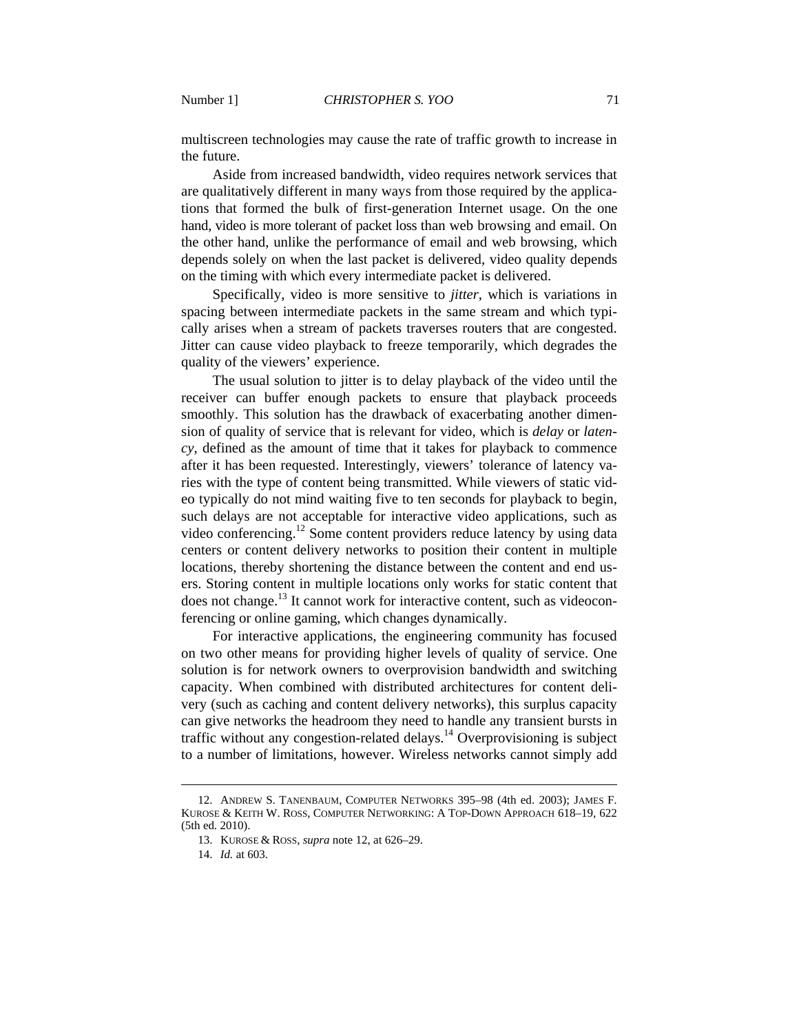multiscreen technologies may cause the rate of traffic growth to increase in the future.

Aside from increased bandwidth, video requires network services that are qualitatively different in many ways from those required by the applications that formed the bulk of first-generation Internet usage. On the one hand, video is more tolerant of packet loss than web browsing and email. On the other hand, unlike the performance of email and web browsing, which depends solely on when the last packet is delivered, video quality depends on the timing with which every intermediate packet is delivered.

Specifically, video is more sensitive to *jitter*, which is variations in spacing between intermediate packets in the same stream and which typically arises when a stream of packets traverses routers that are congested. Jitter can cause video playback to freeze temporarily, which degrades the quality of the viewers' experience.

The usual solution to jitter is to delay playback of the video until the receiver can buffer enough packets to ensure that playback proceeds smoothly. This solution has the drawback of exacerbating another dimension of quality of service that is relevant for video, which is *delay* or *latency*, defined as the amount of time that it takes for playback to commence after it has been requested. Interestingly, viewers' tolerance of latency varies with the type of content being transmitted. While viewers of static video typically do not mind waiting five to ten seconds for playback to begin, such delays are not acceptable for interactive video applications, such as video conferencing.12 Some content providers reduce latency by using data centers or content delivery networks to position their content in multiple locations, thereby shortening the distance between the content and end users. Storing content in multiple locations only works for static content that does not change.<sup>13</sup> It cannot work for interactive content, such as videoconferencing or online gaming, which changes dynamically.

For interactive applications, the engineering community has focused on two other means for providing higher levels of quality of service. One solution is for network owners to overprovision bandwidth and switching capacity. When combined with distributed architectures for content delivery (such as caching and content delivery networks), this surplus capacity can give networks the headroom they need to handle any transient bursts in traffic without any congestion-related delays.<sup>14</sup> Overprovisioning is subject to a number of limitations, however. Wireless networks cannot simply add

 <sup>12.</sup> ANDREW S. TANENBAUM, COMPUTER NETWORKS 395–98 (4th ed. 2003); JAMES F. KUROSE & KEITH W. ROSS, COMPUTER NETWORKING: A TOP-DOWN APPROACH 618–19, 622 (5th ed. 2010).

 <sup>13.</sup> KUROSE & ROSS, *supra* note 12, at 626–29.

 <sup>14.</sup> *Id.* at 603.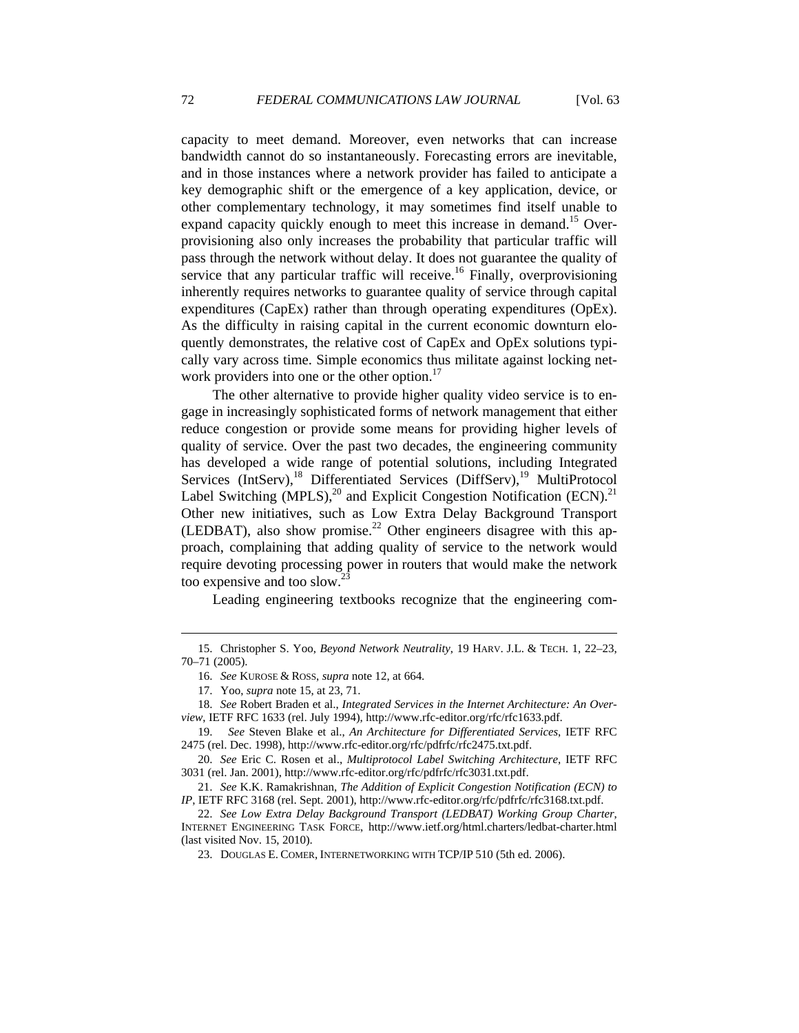capacity to meet demand. Moreover, even networks that can increase bandwidth cannot do so instantaneously. Forecasting errors are inevitable, and in those instances where a network provider has failed to anticipate a key demographic shift or the emergence of a key application, device, or other complementary technology, it may sometimes find itself unable to expand capacity quickly enough to meet this increase in demand.<sup>15</sup> Overprovisioning also only increases the probability that particular traffic will pass through the network without delay. It does not guarantee the quality of service that any particular traffic will receive.<sup>16</sup> Finally, overprovisioning inherently requires networks to guarantee quality of service through capital expenditures (CapEx) rather than through operating expenditures (OpEx). As the difficulty in raising capital in the current economic downturn eloquently demonstrates, the relative cost of CapEx and OpEx solutions typically vary across time. Simple economics thus militate against locking network providers into one or the other option.<sup>17</sup>

The other alternative to provide higher quality video service is to engage in increasingly sophisticated forms of network management that either reduce congestion or provide some means for providing higher levels of quality of service. Over the past two decades, the engineering community has developed a wide range of potential solutions, including Integrated Services (IntServ),<sup>18</sup> Differentiated Services (DiffServ),<sup>19</sup> MultiProtocol Label Switching  $(MPLS)$ ,<sup>20</sup> and Explicit Congestion Notification (ECN).<sup>21</sup> Other new initiatives, such as Low Extra Delay Background Transport (LEDBAT), also show promise.<sup>22</sup> Other engineers disagree with this approach, complaining that adding quality of service to the network would require devoting processing power in routers that would make the network too expensive and too slow.23

Leading engineering textbooks recognize that the engineering com-

 <sup>15.</sup> Christopher S. Yoo, *Beyond Network Neutrality*, 19 HARV. J.L. & TECH. 1, 22–23, 70–71 (2005).

 <sup>16.</sup> *See* KUROSE & ROSS, *supra* note 12, at 664.

 <sup>17.</sup> Yoo, *supra* note 15, at 23, 71.

 <sup>18.</sup> *See* Robert Braden et al., *Integrated Services in the Internet Architecture: An Overview*, IETF RFC 1633 (rel. July 1994), http://www.rfc-editor.org/rfc/rfc1633.pdf.

 <sup>19.</sup> *See* Steven Blake et al., *An Architecture for Differentiated Services*, IETF RFC 2475 (rel. Dec. 1998), http://www.rfc-editor.org/rfc/pdfrfc/rfc2475.txt.pdf.

 <sup>20.</sup> *See* Eric C. Rosen et al., *Multiprotocol Label Switching Architecture*, IETF RFC 3031 (rel. Jan. 2001), http://www.rfc-editor.org/rfc/pdfrfc/rfc3031.txt.pdf.

 <sup>21.</sup> *See* K.K. Ramakrishnan, *The Addition of Explicit Congestion Notification (ECN) to IP*, IETF RFC 3168 (rel. Sept. 2001), http://www.rfc-editor.org/rfc/pdfrfc/rfc3168.txt.pdf.

 <sup>22.</sup> *See Low Extra Delay Background Transport (LEDBAT) Working Group Charter*, INTERNET ENGINEERING TASK FORCE, http://www.ietf.org/html.charters/ledbat-charter.html (last visited Nov. 15, 2010).

 <sup>23.</sup> DOUGLAS E. COMER, INTERNETWORKING WITH TCP/IP 510 (5th ed. 2006).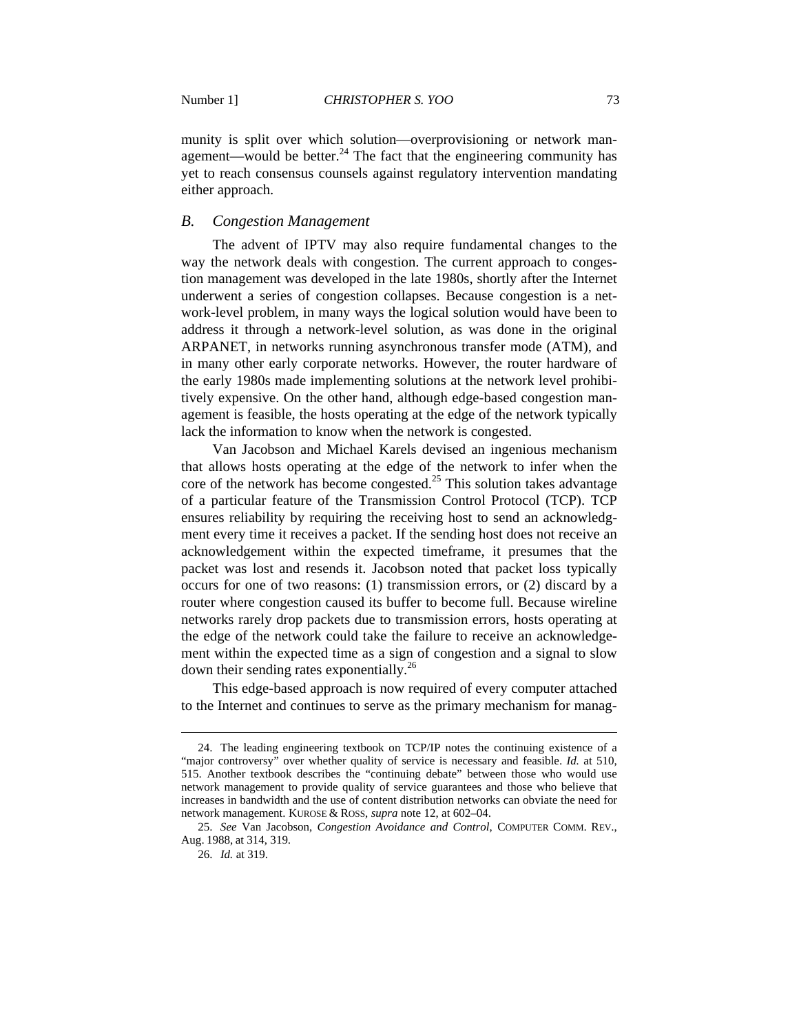munity is split over which solution—overprovisioning or network management—would be better. $^{24}$  The fact that the engineering community has yet to reach consensus counsels against regulatory intervention mandating either approach.

## *B. Congestion Management*

The advent of IPTV may also require fundamental changes to the way the network deals with congestion. The current approach to congestion management was developed in the late 1980s, shortly after the Internet underwent a series of congestion collapses. Because congestion is a network-level problem, in many ways the logical solution would have been to address it through a network-level solution, as was done in the original ARPANET, in networks running asynchronous transfer mode (ATM), and in many other early corporate networks. However, the router hardware of the early 1980s made implementing solutions at the network level prohibitively expensive. On the other hand, although edge-based congestion management is feasible, the hosts operating at the edge of the network typically lack the information to know when the network is congested.

Van Jacobson and Michael Karels devised an ingenious mechanism that allows hosts operating at the edge of the network to infer when the core of the network has become congested.<sup>25</sup> This solution takes advantage of a particular feature of the Transmission Control Protocol (TCP). TCP ensures reliability by requiring the receiving host to send an acknowledgment every time it receives a packet. If the sending host does not receive an acknowledgement within the expected timeframe, it presumes that the packet was lost and resends it. Jacobson noted that packet loss typically occurs for one of two reasons: (1) transmission errors, or (2) discard by a router where congestion caused its buffer to become full. Because wireline networks rarely drop packets due to transmission errors, hosts operating at the edge of the network could take the failure to receive an acknowledgement within the expected time as a sign of congestion and a signal to slow down their sending rates exponentially.<sup>26</sup>

This edge-based approach is now required of every computer attached to the Internet and continues to serve as the primary mechanism for manag-

 <sup>24.</sup> The leading engineering textbook on TCP/IP notes the continuing existence of a "major controversy" over whether quality of service is necessary and feasible. *Id.* at 510, 515. Another textbook describes the "continuing debate" between those who would use network management to provide quality of service guarantees and those who believe that increases in bandwidth and the use of content distribution networks can obviate the need for network management. KUROSE & ROSS, *supra* note 12, at 602–04.

 <sup>25.</sup> *See* Van Jacobson, *Congestion Avoidance and Control*, COMPUTER COMM. REV., Aug. 1988, at 314, 319.

 <sup>26.</sup> *Id.* at 319.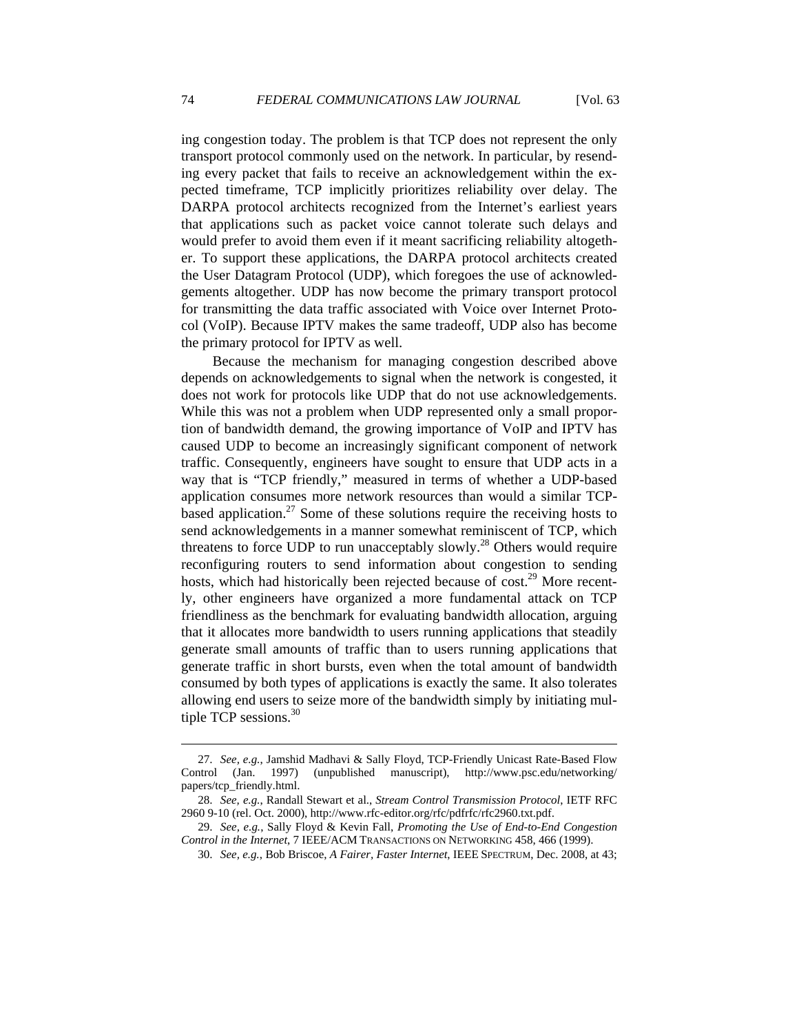ing congestion today. The problem is that TCP does not represent the only transport protocol commonly used on the network. In particular, by resending every packet that fails to receive an acknowledgement within the expected timeframe, TCP implicitly prioritizes reliability over delay. The DARPA protocol architects recognized from the Internet's earliest years that applications such as packet voice cannot tolerate such delays and would prefer to avoid them even if it meant sacrificing reliability altogether. To support these applications, the DARPA protocol architects created the User Datagram Protocol (UDP), which foregoes the use of acknowledgements altogether. UDP has now become the primary transport protocol for transmitting the data traffic associated with Voice over Internet Protocol (VoIP). Because IPTV makes the same tradeoff, UDP also has become the primary protocol for IPTV as well.

Because the mechanism for managing congestion described above depends on acknowledgements to signal when the network is congested, it does not work for protocols like UDP that do not use acknowledgements. While this was not a problem when UDP represented only a small proportion of bandwidth demand, the growing importance of VoIP and IPTV has caused UDP to become an increasingly significant component of network traffic. Consequently, engineers have sought to ensure that UDP acts in a way that is "TCP friendly," measured in terms of whether a UDP-based application consumes more network resources than would a similar TCPbased application.<sup>27</sup> Some of these solutions require the receiving hosts to send acknowledgements in a manner somewhat reminiscent of TCP, which threatens to force UDP to run unacceptably slowly.<sup>28</sup> Others would require reconfiguring routers to send information about congestion to sending hosts, which had historically been rejected because of cost.<sup>29</sup> More recently, other engineers have organized a more fundamental attack on TCP friendliness as the benchmark for evaluating bandwidth allocation, arguing that it allocates more bandwidth to users running applications that steadily generate small amounts of traffic than to users running applications that generate traffic in short bursts, even when the total amount of bandwidth consumed by both types of applications is exactly the same. It also tolerates allowing end users to seize more of the bandwidth simply by initiating multiple TCP sessions. $30$ 

 <sup>27.</sup> *See, e.g.*, Jamshid Madhavi & Sally Floyd, TCP-Friendly Unicast Rate-Based Flow Control (Jan. 1997) (unpublished manuscript), http://www.psc.edu/networking/ papers/tcp\_friendly.html.

 <sup>28.</sup> *See, e.g.*, Randall Stewart et al., *Stream Control Transmission Protocol*, IETF RFC 2960 9-10 (rel. Oct. 2000), http://www.rfc-editor.org/rfc/pdfrfc/rfc2960.txt.pdf.

 <sup>29.</sup> *See, e.g.*, Sally Floyd & Kevin Fall, *Promoting the Use of End-to-End Congestion Control in the Internet*, 7 IEEE/ACM TRANSACTIONS ON NETWORKING 458, 466 (1999).

 <sup>30.</sup> *See, e.g.*, Bob Briscoe, *A Fairer, Faster Internet*, IEEE SPECTRUM, Dec. 2008, at 43;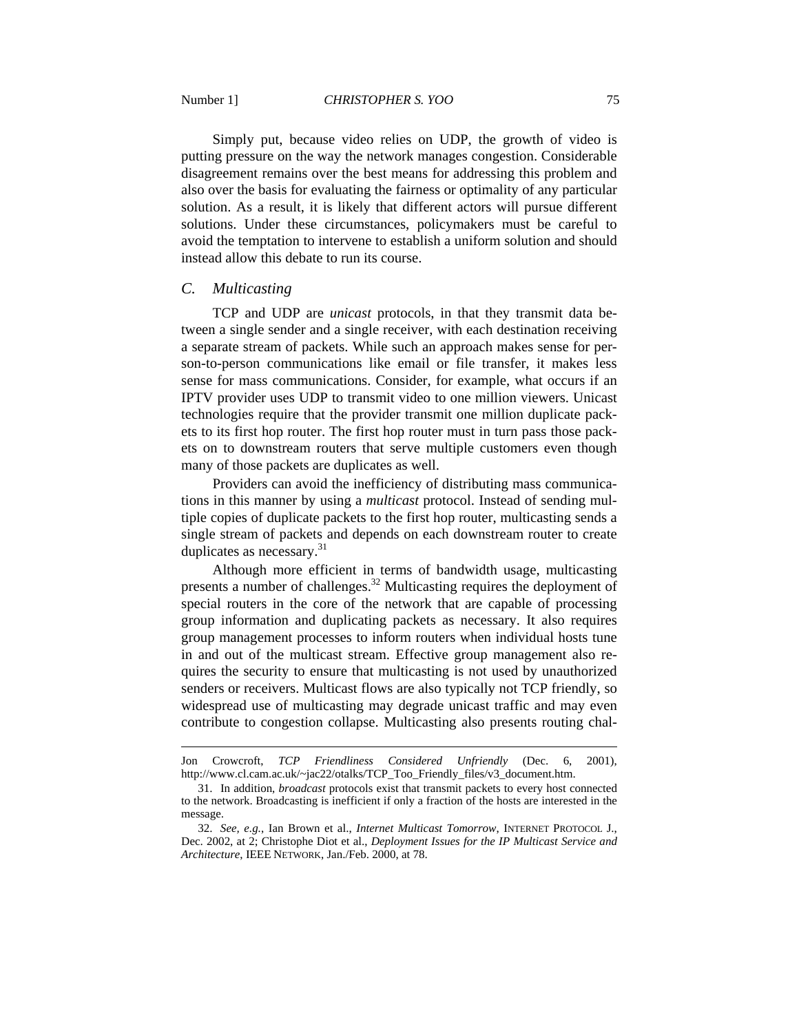Simply put, because video relies on UDP, the growth of video is putting pressure on the way the network manages congestion. Considerable disagreement remains over the best means for addressing this problem and also over the basis for evaluating the fairness or optimality of any particular solution. As a result, it is likely that different actors will pursue different solutions. Under these circumstances, policymakers must be careful to avoid the temptation to intervene to establish a uniform solution and should instead allow this debate to run its course.

# *C. Multicasting*

 $\overline{a}$ 

TCP and UDP are *unicast* protocols, in that they transmit data between a single sender and a single receiver, with each destination receiving a separate stream of packets. While such an approach makes sense for person-to-person communications like email or file transfer, it makes less sense for mass communications. Consider, for example, what occurs if an IPTV provider uses UDP to transmit video to one million viewers. Unicast technologies require that the provider transmit one million duplicate packets to its first hop router. The first hop router must in turn pass those packets on to downstream routers that serve multiple customers even though many of those packets are duplicates as well.

Providers can avoid the inefficiency of distributing mass communications in this manner by using a *multicast* protocol. Instead of sending multiple copies of duplicate packets to the first hop router, multicasting sends a single stream of packets and depends on each downstream router to create duplicates as necessary.<sup>31</sup>

Although more efficient in terms of bandwidth usage, multicasting presents a number of challenges.<sup>32</sup> Multicasting requires the deployment of special routers in the core of the network that are capable of processing group information and duplicating packets as necessary. It also requires group management processes to inform routers when individual hosts tune in and out of the multicast stream. Effective group management also requires the security to ensure that multicasting is not used by unauthorized senders or receivers. Multicast flows are also typically not TCP friendly, so widespread use of multicasting may degrade unicast traffic and may even contribute to congestion collapse. Multicasting also presents routing chal-

Jon Crowcroft, *TCP Friendliness Considered Unfriendly* (Dec. 6, 2001), http://www.cl.cam.ac.uk/~jac22/otalks/TCP\_Too\_Friendly\_files/v3\_document.htm.

 <sup>31.</sup> In addition, *broadcast* protocols exist that transmit packets to every host connected to the network. Broadcasting is inefficient if only a fraction of the hosts are interested in the message.

 <sup>32.</sup> *See, e.g.*, Ian Brown et al., *Internet Multicast Tomorrow*, INTERNET PROTOCOL J., Dec. 2002, at 2; Christophe Diot et al., *Deployment Issues for the IP Multicast Service and Architecture*, IEEE NETWORK, Jan./Feb. 2000, at 78.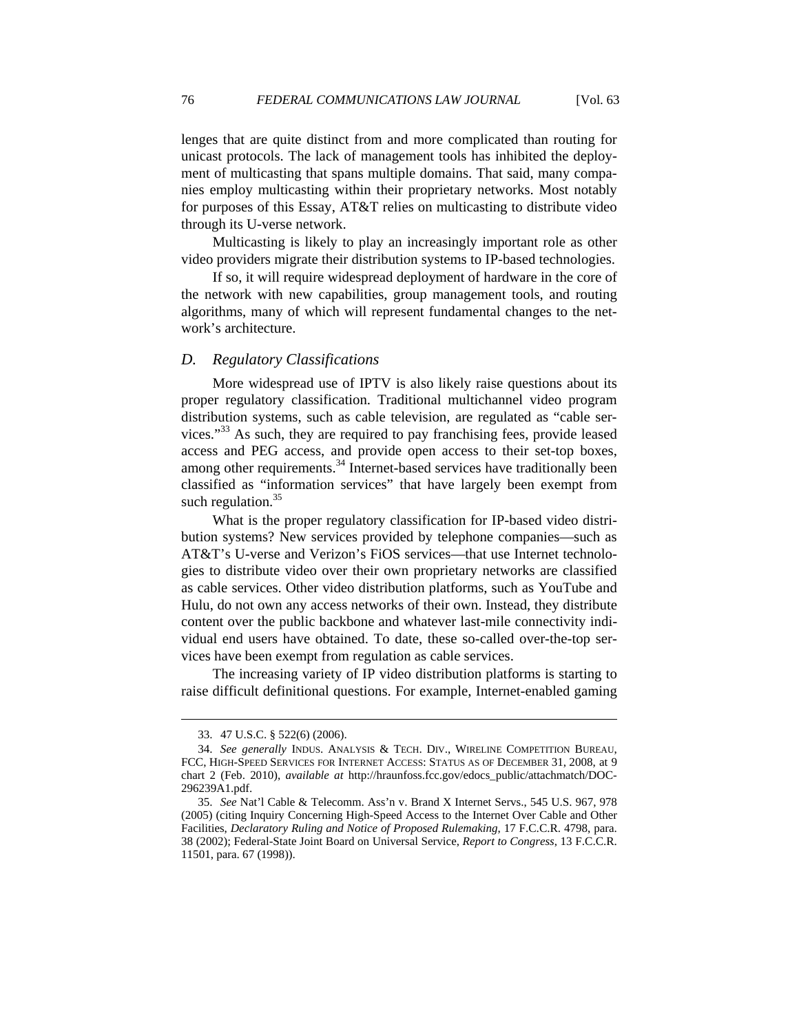lenges that are quite distinct from and more complicated than routing for unicast protocols. The lack of management tools has inhibited the deployment of multicasting that spans multiple domains. That said, many companies employ multicasting within their proprietary networks. Most notably for purposes of this Essay, AT&T relies on multicasting to distribute video through its U-verse network.

Multicasting is likely to play an increasingly important role as other video providers migrate their distribution systems to IP-based technologies.

If so, it will require widespread deployment of hardware in the core of the network with new capabilities, group management tools, and routing algorithms, many of which will represent fundamental changes to the network's architecture.

# *D. Regulatory Classifications*

More widespread use of IPTV is also likely raise questions about its proper regulatory classification. Traditional multichannel video program distribution systems, such as cable television, are regulated as "cable services."33 As such, they are required to pay franchising fees, provide leased access and PEG access, and provide open access to their set-top boxes, among other requirements.<sup>34</sup> Internet-based services have traditionally been classified as "information services" that have largely been exempt from such regulation.<sup>35</sup>

What is the proper regulatory classification for IP-based video distribution systems? New services provided by telephone companies—such as AT&T's U-verse and Verizon's FiOS services—that use Internet technologies to distribute video over their own proprietary networks are classified as cable services. Other video distribution platforms, such as YouTube and Hulu, do not own any access networks of their own. Instead, they distribute content over the public backbone and whatever last-mile connectivity individual end users have obtained. To date, these so-called over-the-top services have been exempt from regulation as cable services.

The increasing variety of IP video distribution platforms is starting to raise difficult definitional questions. For example, Internet-enabled gaming

 <sup>33. 47</sup> U.S.C. § 522(6) (2006).

 <sup>34.</sup> *See generally* INDUS. ANALYSIS & TECH. DIV., WIRELINE COMPETITION BUREAU, FCC, HIGH-SPEED SERVICES FOR INTERNET ACCESS: STATUS AS OF DECEMBER 31, 2008, at 9 chart 2 (Feb. 2010), *available at* http://hraunfoss.fcc.gov/edocs\_public/attachmatch/DOC-296239A1.pdf.

 <sup>35.</sup> *See* Nat'l Cable & Telecomm. Ass'n v. Brand X Internet Servs., 545 U.S. 967, 978 (2005) (citing Inquiry Concerning High-Speed Access to the Internet Over Cable and Other Facilities, *Declaratory Ruling and Notice of Proposed Rulemaking*, 17 F.C.C.R. 4798, para. 38 (2002); Federal-State Joint Board on Universal Service, *Report to Congress*, 13 F.C.C.R. 11501, para. 67 (1998)).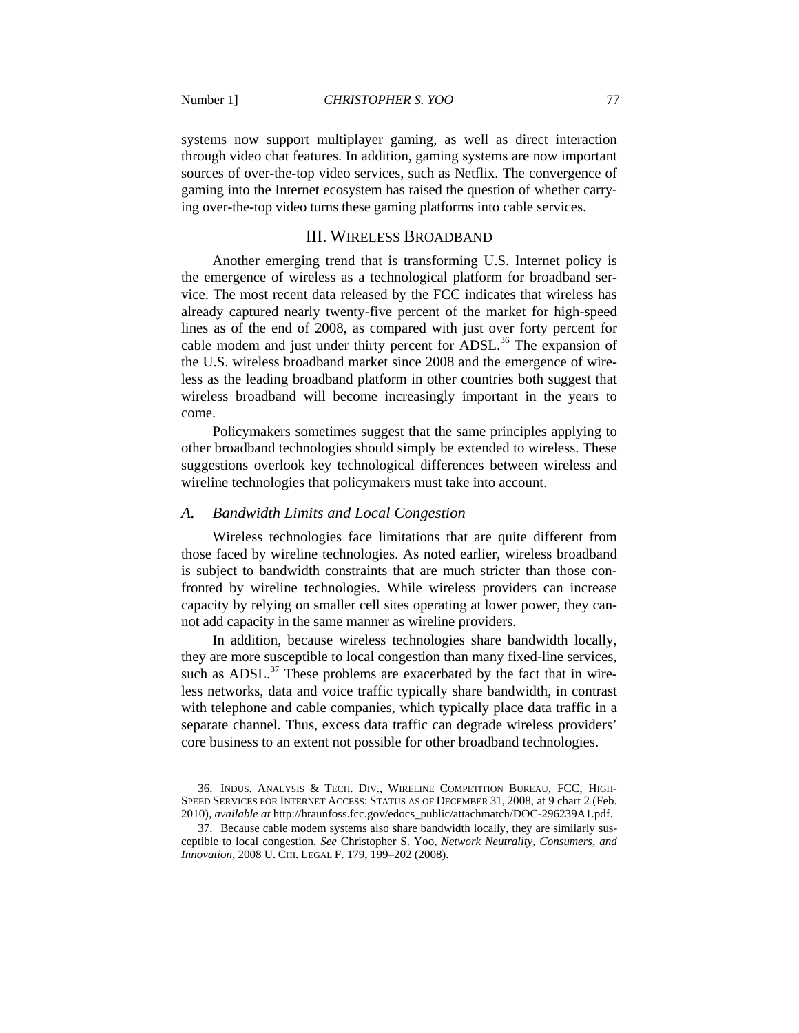systems now support multiplayer gaming, as well as direct interaction through video chat features. In addition, gaming systems are now important sources of over-the-top video services, such as Netflix. The convergence of gaming into the Internet ecosystem has raised the question of whether carrying over-the-top video turns these gaming platforms into cable services.

# III. WIRELESS BROADBAND

Another emerging trend that is transforming U.S. Internet policy is the emergence of wireless as a technological platform for broadband service. The most recent data released by the FCC indicates that wireless has already captured nearly twenty-five percent of the market for high-speed lines as of the end of 2008, as compared with just over forty percent for cable modem and just under thirty percent for  $\triangle$ DSL.<sup>36</sup> The expansion ofthe U.S. wireless broadband market since 2008 and the emergence of wireless as the leading broadband platform in other countries both suggest that wireless broadband will become increasingly important in the years to come.

Policymakers sometimes suggest that the same principles applying to other broadband technologies should simply be extended to wireless. These suggestions overlook key technological differences between wireless and wireline technologies that policymakers must take into account.

## *A. Bandwidth Limits and Local Congestion*

Wireless technologies face limitations that are quite different from those faced by wireline technologies. As noted earlier, wireless broadband is subject to bandwidth constraints that are much stricter than those confronted by wireline technologies. While wireless providers can increase capacity by relying on smaller cell sites operating at lower power, they cannot add capacity in the same manner as wireline providers.

In addition, because wireless technologies share bandwidth locally, they are more susceptible to local congestion than many fixed-line services, such as  $\text{ADSL}^{37}$ . These problems are exacerbated by the fact that in wireless networks, data and voice traffic typically share bandwidth, in contrast with telephone and cable companies, which typically place data traffic in a separate channel. Thus, excess data traffic can degrade wireless providers' core business to an extent not possible for other broadband technologies.

 <sup>36.</sup> INDUS. ANALYSIS & TECH. DIV., WIRELINE COMPETITION BUREAU, FCC, HIGH-SPEED SERVICES FOR INTERNET ACCESS: STATUS AS OF DECEMBER 31, 2008, at 9 chart 2 (Feb. 2010), *available at* http://hraunfoss.fcc.gov/edocs\_public/attachmatch/DOC-296239A1.pdf.

 <sup>37.</sup> Because cable modem systems also share bandwidth locally, they are similarly susceptible to local congestion. *See* Christopher S. Yoo, *Network Neutrality, Consumers, and Innovation*, 2008 U. CHI. LEGAL F. 179, 199–202 (2008).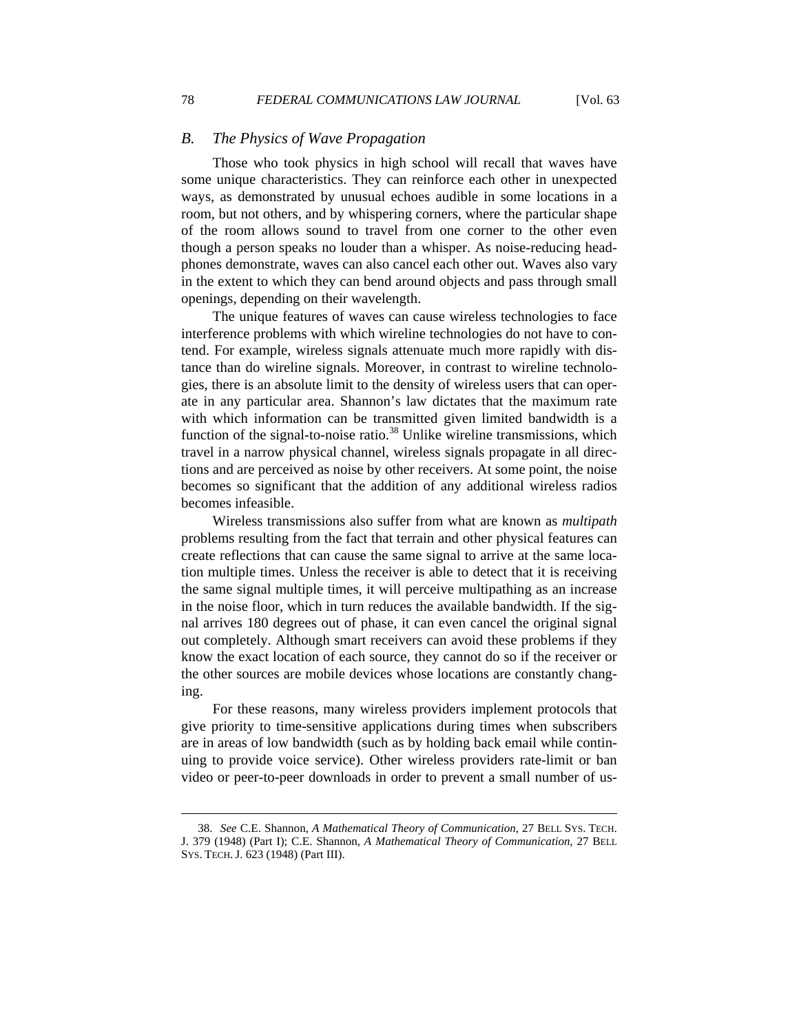## *B. The Physics of Wave Propagation*

Those who took physics in high school will recall that waves have some unique characteristics. They can reinforce each other in unexpected ways, as demonstrated by unusual echoes audible in some locations in a room, but not others, and by whispering corners, where the particular shape of the room allows sound to travel from one corner to the other even though a person speaks no louder than a whisper. As noise-reducing headphones demonstrate, waves can also cancel each other out. Waves also vary in the extent to which they can bend around objects and pass through small openings, depending on their wavelength.

The unique features of waves can cause wireless technologies to face interference problems with which wireline technologies do not have to contend. For example, wireless signals attenuate much more rapidly with distance than do wireline signals. Moreover, in contrast to wireline technologies, there is an absolute limit to the density of wireless users that can operate in any particular area. Shannon's law dictates that the maximum rate with which information can be transmitted given limited bandwidth is a function of the signal-to-noise ratio.<sup>38</sup> Unlike wireline transmissions, which travel in a narrow physical channel, wireless signals propagate in all directions and are perceived as noise by other receivers. At some point, the noise becomes so significant that the addition of any additional wireless radios becomes infeasible.

Wireless transmissions also suffer from what are known as *multipath* problems resulting from the fact that terrain and other physical features can create reflections that can cause the same signal to arrive at the same location multiple times. Unless the receiver is able to detect that it is receiving the same signal multiple times, it will perceive multipathing as an increase in the noise floor, which in turn reduces the available bandwidth. If the signal arrives 180 degrees out of phase, it can even cancel the original signal out completely. Although smart receivers can avoid these problems if they know the exact location of each source, they cannot do so if the receiver or the other sources are mobile devices whose locations are constantly changing.

For these reasons, many wireless providers implement protocols that give priority to time-sensitive applications during times when subscribers are in areas of low bandwidth (such as by holding back email while continuing to provide voice service). Other wireless providers rate-limit or ban video or peer-to-peer downloads in order to prevent a small number of us-

 <sup>38.</sup> *See* C.E. Shannon, *A Mathematical Theory of Communication*, 27 BELL SYS. TECH. J. 379 (1948) (Part I); C.E. Shannon, *A Mathematical Theory of Communication*, 27 BELL SYS. TECH. J. 623 (1948) (Part III).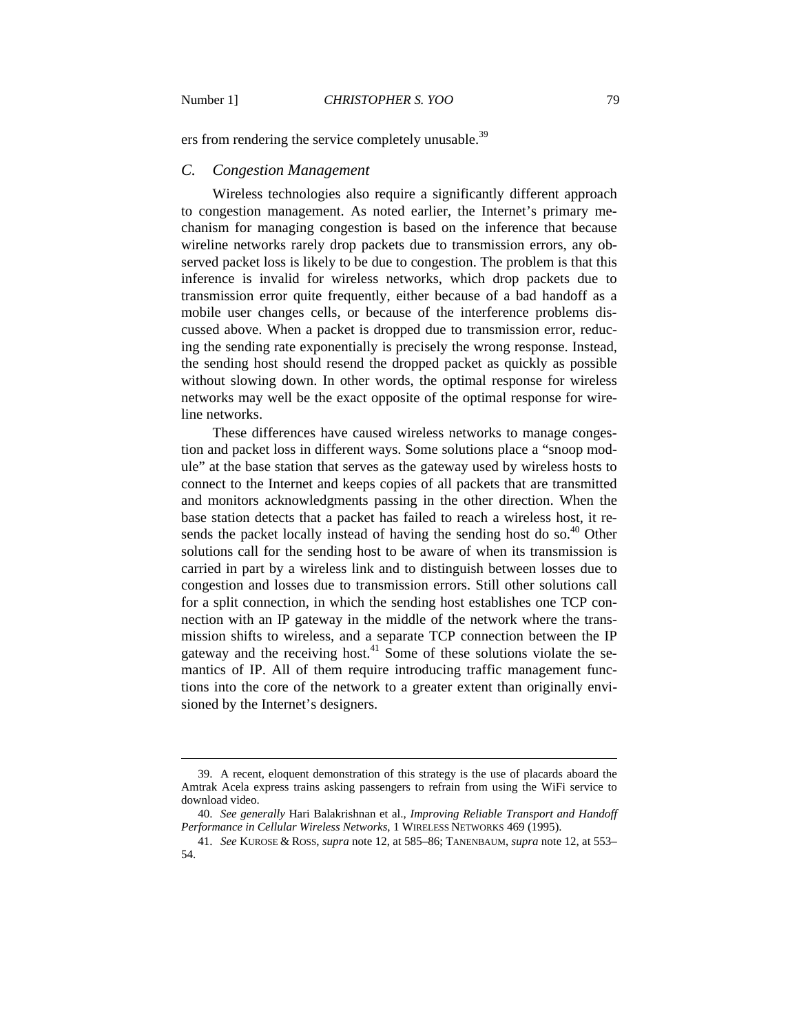ers from rendering the service completely unusable.<sup>39</sup>

# *C. Congestion Management*

Wireless technologies also require a significantly different approach to congestion management. As noted earlier, the Internet's primary mechanism for managing congestion is based on the inference that because wireline networks rarely drop packets due to transmission errors, any observed packet loss is likely to be due to congestion. The problem is that this inference is invalid for wireless networks, which drop packets due to transmission error quite frequently, either because of a bad handoff as a mobile user changes cells, or because of the interference problems discussed above. When a packet is dropped due to transmission error, reducing the sending rate exponentially is precisely the wrong response. Instead, the sending host should resend the dropped packet as quickly as possible without slowing down. In other words, the optimal response for wireless networks may well be the exact opposite of the optimal response for wireline networks.

These differences have caused wireless networks to manage congestion and packet loss in different ways. Some solutions place a "snoop module" at the base station that serves as the gateway used by wireless hosts to connect to the Internet and keeps copies of all packets that are transmitted and monitors acknowledgments passing in the other direction. When the base station detects that a packet has failed to reach a wireless host, it resends the packet locally instead of having the sending host do so.<sup>40</sup> Other solutions call for the sending host to be aware of when its transmission is carried in part by a wireless link and to distinguish between losses due to congestion and losses due to transmission errors. Still other solutions call for a split connection, in which the sending host establishes one TCP connection with an IP gateway in the middle of the network where the transmission shifts to wireless, and a separate TCP connection between the IP gateway and the receiving host.<sup>41</sup> Some of these solutions violate the semantics of IP. All of them require introducing traffic management functions into the core of the network to a greater extent than originally envisioned by the Internet's designers.

 <sup>39.</sup> A recent, eloquent demonstration of this strategy is the use of placards aboard the Amtrak Acela express trains asking passengers to refrain from using the WiFi service to download video.

 <sup>40.</sup> *See generally* Hari Balakrishnan et al., *Improving Reliable Transport and Handoff Performance in Cellular Wireless Networks*, 1 WIRELESS NETWORKS 469 (1995).

 <sup>41.</sup> *See* KUROSE & ROSS, *supra* note 12, at 585–86; TANENBAUM, *supra* note 12, at 553– 54.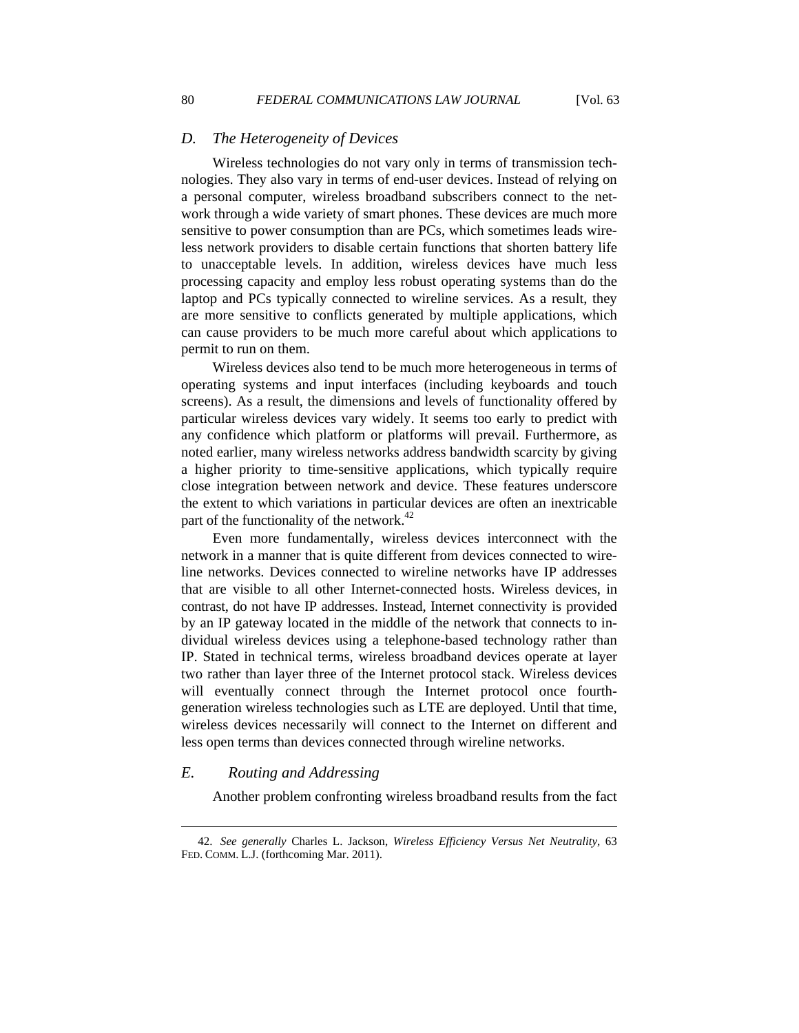## *D. The Heterogeneity of Devices*

Wireless technologies do not vary only in terms of transmission technologies. They also vary in terms of end-user devices. Instead of relying on a personal computer, wireless broadband subscribers connect to the network through a wide variety of smart phones. These devices are much more sensitive to power consumption than are PCs, which sometimes leads wireless network providers to disable certain functions that shorten battery life to unacceptable levels. In addition, wireless devices have much less processing capacity and employ less robust operating systems than do the laptop and PCs typically connected to wireline services. As a result, they are more sensitive to conflicts generated by multiple applications, which can cause providers to be much more careful about which applications to permit to run on them.

Wireless devices also tend to be much more heterogeneous in terms of operating systems and input interfaces (including keyboards and touch screens). As a result, the dimensions and levels of functionality offered by particular wireless devices vary widely. It seems too early to predict with any confidence which platform or platforms will prevail. Furthermore, as noted earlier, many wireless networks address bandwidth scarcity by giving a higher priority to time-sensitive applications, which typically require close integration between network and device. These features underscore the extent to which variations in particular devices are often an inextricable part of the functionality of the network.<sup>42</sup>

Even more fundamentally, wireless devices interconnect with the network in a manner that is quite different from devices connected to wireline networks. Devices connected to wireline networks have IP addresses that are visible to all other Internet-connected hosts. Wireless devices, in contrast, do not have IP addresses. Instead, Internet connectivity is provided by an IP gateway located in the middle of the network that connects to individual wireless devices using a telephone-based technology rather than IP. Stated in technical terms, wireless broadband devices operate at layer two rather than layer three of the Internet protocol stack. Wireless devices will eventually connect through the Internet protocol once fourthgeneration wireless technologies such as LTE are deployed. Until that time, wireless devices necessarily will connect to the Internet on different and less open terms than devices connected through wireline networks.

#### *E. Routing and Addressing*

 $\overline{a}$ 

Another problem confronting wireless broadband results from the fact

 <sup>42.</sup> *See generally* Charles L. Jackson, *Wireless Efficiency Versus Net Neutrality*, 63 FED. COMM. L.J. (forthcoming Mar. 2011).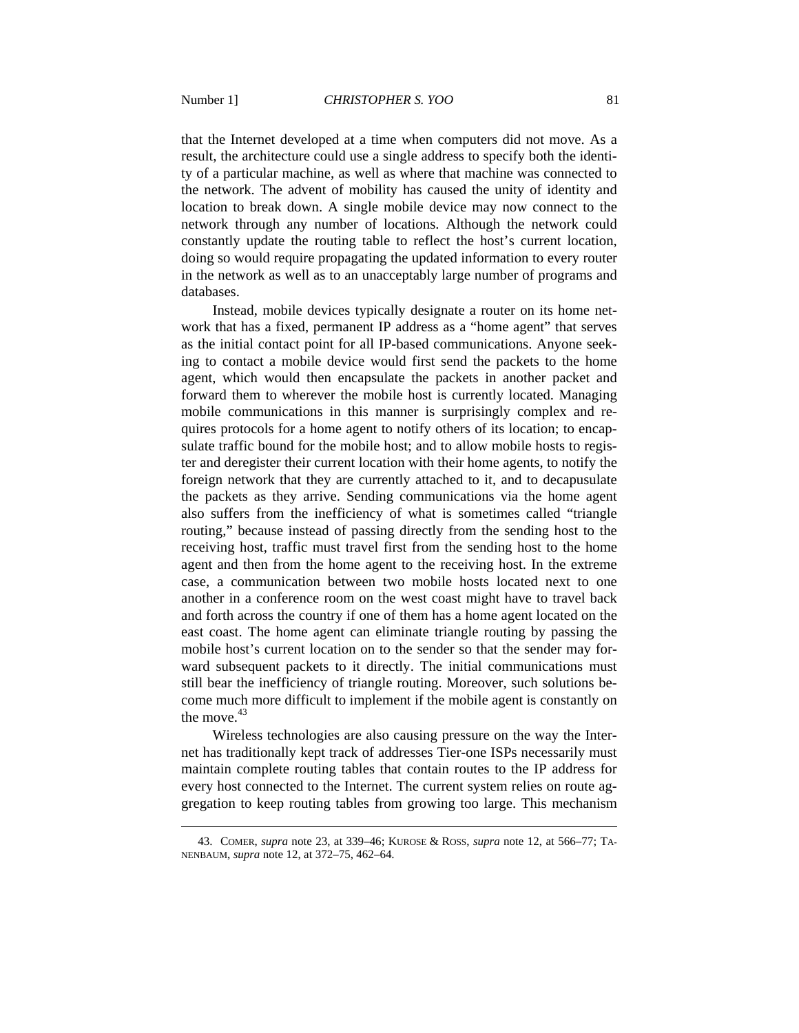that the Internet developed at a time when computers did not move. As a result, the architecture could use a single address to specify both the identity of a particular machine, as well as where that machine was connected to the network. The advent of mobility has caused the unity of identity and location to break down. A single mobile device may now connect to the network through any number of locations. Although the network could constantly update the routing table to reflect the host's current location, doing so would require propagating the updated information to every router in the network as well as to an unacceptably large number of programs and databases.

Instead, mobile devices typically designate a router on its home network that has a fixed, permanent IP address as a "home agent" that serves as the initial contact point for all IP-based communications. Anyone seeking to contact a mobile device would first send the packets to the home agent, which would then encapsulate the packets in another packet and forward them to wherever the mobile host is currently located. Managing mobile communications in this manner is surprisingly complex and requires protocols for a home agent to notify others of its location; to encapsulate traffic bound for the mobile host; and to allow mobile hosts to register and deregister their current location with their home agents, to notify the foreign network that they are currently attached to it, and to decapusulate the packets as they arrive. Sending communications via the home agent also suffers from the inefficiency of what is sometimes called "triangle routing," because instead of passing directly from the sending host to the receiving host, traffic must travel first from the sending host to the home agent and then from the home agent to the receiving host. In the extreme case, a communication between two mobile hosts located next to one another in a conference room on the west coast might have to travel back and forth across the country if one of them has a home agent located on the east coast. The home agent can eliminate triangle routing by passing the mobile host's current location on to the sender so that the sender may forward subsequent packets to it directly. The initial communications must still bear the inefficiency of triangle routing. Moreover, such solutions become much more difficult to implement if the mobile agent is constantly on the move. $43$ 

Wireless technologies are also causing pressure on the way the Internet has traditionally kept track of addresses Tier-one ISPs necessarily must maintain complete routing tables that contain routes to the IP address for every host connected to the Internet. The current system relies on route aggregation to keep routing tables from growing too large. This mechanism

 <sup>43.</sup> COMER, *supra* note 23, at 339–46; KUROSE & ROSS, *supra* note 12, at 566–77; TA-NENBAUM, *supra* note 12, at 372–75, 462–64.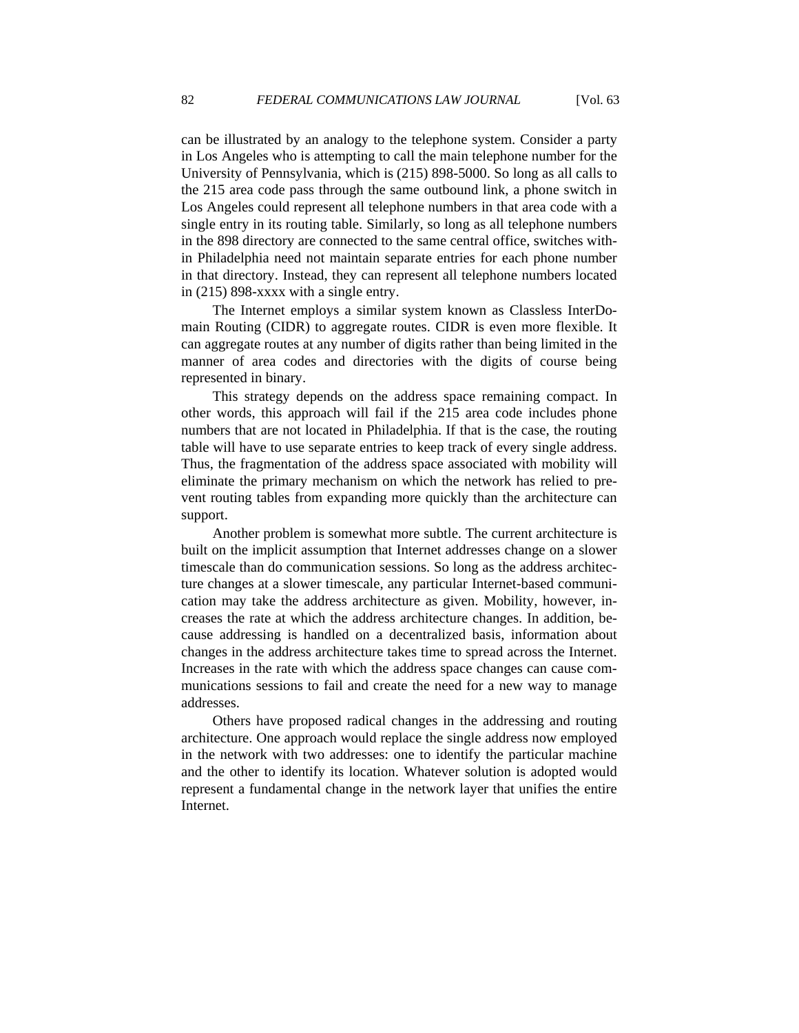can be illustrated by an analogy to the telephone system. Consider a party in Los Angeles who is attempting to call the main telephone number for the University of Pennsylvania, which is (215) 898-5000. So long as all calls to the 215 area code pass through the same outbound link, a phone switch in Los Angeles could represent all telephone numbers in that area code with a single entry in its routing table. Similarly, so long as all telephone numbers in the 898 directory are connected to the same central office, switches within Philadelphia need not maintain separate entries for each phone number in that directory. Instead, they can represent all telephone numbers located in (215) 898-xxxx with a single entry.

The Internet employs a similar system known as Classless InterDomain Routing (CIDR) to aggregate routes. CIDR is even more flexible. It can aggregate routes at any number of digits rather than being limited in the manner of area codes and directories with the digits of course being represented in binary.

This strategy depends on the address space remaining compact. In other words, this approach will fail if the 215 area code includes phone numbers that are not located in Philadelphia. If that is the case, the routing table will have to use separate entries to keep track of every single address. Thus, the fragmentation of the address space associated with mobility will eliminate the primary mechanism on which the network has relied to prevent routing tables from expanding more quickly than the architecture can support.

Another problem is somewhat more subtle. The current architecture is built on the implicit assumption that Internet addresses change on a slower timescale than do communication sessions. So long as the address architecture changes at a slower timescale, any particular Internet-based communication may take the address architecture as given. Mobility, however, increases the rate at which the address architecture changes. In addition, because addressing is handled on a decentralized basis, information about changes in the address architecture takes time to spread across the Internet. Increases in the rate with which the address space changes can cause communications sessions to fail and create the need for a new way to manage addresses.

Others have proposed radical changes in the addressing and routing architecture. One approach would replace the single address now employed in the network with two addresses: one to identify the particular machine and the other to identify its location. Whatever solution is adopted would represent a fundamental change in the network layer that unifies the entire Internet.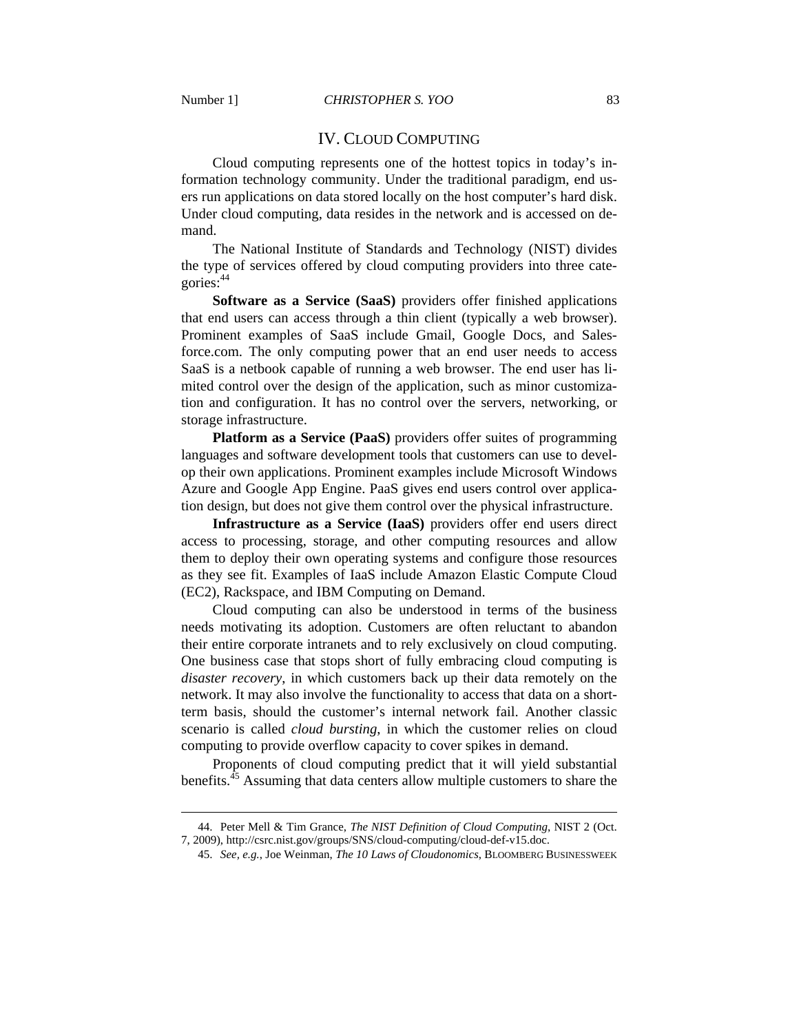# IV. CLOUD COMPUTING

Cloud computing represents one of the hottest topics in today's information technology community. Under the traditional paradigm, end users run applications on data stored locally on the host computer's hard disk. Under cloud computing, data resides in the network and is accessed on demand.

The National Institute of Standards and Technology (NIST) divides the type of services offered by cloud computing providers into three categories:44

**Software as a Service (SaaS)** providers offer finished applications that end users can access through a thin client (typically a web browser). Prominent examples of SaaS include Gmail, Google Docs, and Salesforce.com. The only computing power that an end user needs to access SaaS is a netbook capable of running a web browser. The end user has limited control over the design of the application, such as minor customization and configuration. It has no control over the servers, networking, or storage infrastructure.

**Platform as a Service (PaaS)** providers offer suites of programming languages and software development tools that customers can use to develop their own applications. Prominent examples include Microsoft Windows Azure and Google App Engine. PaaS gives end users control over application design, but does not give them control over the physical infrastructure.

**Infrastructure as a Service (IaaS)** providers offer end users direct access to processing, storage, and other computing resources and allow them to deploy their own operating systems and configure those resources as they see fit. Examples of IaaS include Amazon Elastic Compute Cloud (EC2), Rackspace, and IBM Computing on Demand.

Cloud computing can also be understood in terms of the business needs motivating its adoption. Customers are often reluctant to abandon their entire corporate intranets and to rely exclusively on cloud computing. One business case that stops short of fully embracing cloud computing is *disaster recovery*, in which customers back up their data remotely on the network. It may also involve the functionality to access that data on a shortterm basis, should the customer's internal network fail. Another classic scenario is called *cloud bursting*, in which the customer relies on cloud computing to provide overflow capacity to cover spikes in demand.

Proponents of cloud computing predict that it will yield substantial benefits.<sup>45</sup> Assuming that data centers allow multiple customers to share the

 <sup>44.</sup> Peter Mell & Tim Grance, *The NIST Definition of Cloud Computing*, NIST 2 (Oct. 7, 2009), http://csrc.nist.gov/groups/SNS/cloud-computing/cloud-def-v15.doc.

 <sup>45.</sup> *See, e.g.*, Joe Weinman, *The 10 Laws of Cloudonomics*, BLOOMBERG BUSINESSWEEK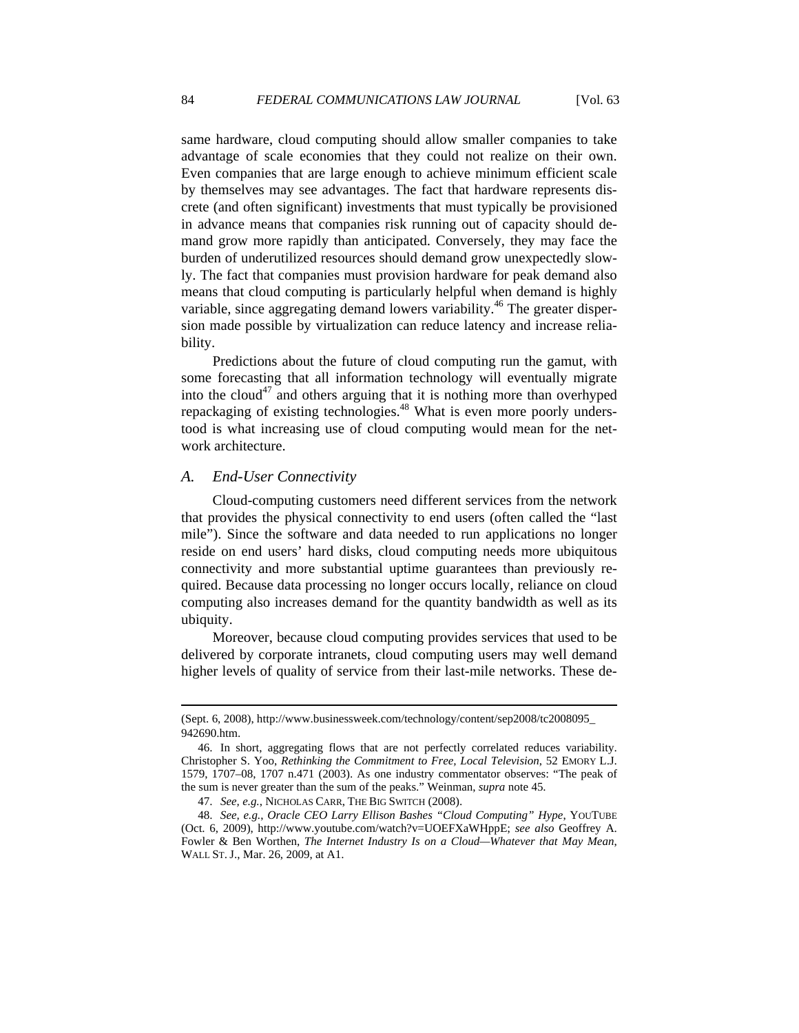same hardware, cloud computing should allow smaller companies to take advantage of scale economies that they could not realize on their own. Even companies that are large enough to achieve minimum efficient scale by themselves may see advantages. The fact that hardware represents discrete (and often significant) investments that must typically be provisioned in advance means that companies risk running out of capacity should demand grow more rapidly than anticipated. Conversely, they may face the burden of underutilized resources should demand grow unexpectedly slowly. The fact that companies must provision hardware for peak demand also means that cloud computing is particularly helpful when demand is highly variable, since aggregating demand lowers variability.<sup>46</sup> The greater dispersion made possible by virtualization can reduce latency and increase reliability.

Predictions about the future of cloud computing run the gamut, with some forecasting that all information technology will eventually migrate into the cloud<sup>47</sup> and others arguing that it is nothing more than overhyped repackaging of existing technologies.<sup>48</sup> What is even more poorly understood is what increasing use of cloud computing would mean for the network architecture.

# *A. End-User Connectivity*

Cloud-computing customers need different services from the network that provides the physical connectivity to end users (often called the "last mile"). Since the software and data needed to run applications no longer reside on end users' hard disks, cloud computing needs more ubiquitous connectivity and more substantial uptime guarantees than previously required. Because data processing no longer occurs locally, reliance on cloud computing also increases demand for the quantity bandwidth as well as its ubiquity.

Moreover, because cloud computing provides services that used to be delivered by corporate intranets, cloud computing users may well demand higher levels of quality of service from their last-mile networks. These de-

<sup>(</sup>Sept. 6, 2008), http://www.businessweek.com/technology/content/sep2008/tc2008095\_ 942690.htm.

 <sup>46.</sup> In short, aggregating flows that are not perfectly correlated reduces variability. Christopher S. Yoo, *Rethinking the Commitment to Free, Local Television*, 52 EMORY L.J. 1579, 1707–08, 1707 n.471 (2003). As one industry commentator observes: "The peak of the sum is never greater than the sum of the peaks." Weinman, *supra* note 45.

 <sup>47.</sup> *See, e.g.*, NICHOLAS CARR, THE BIG SWITCH (2008).

 <sup>48.</sup> *See, e.g.*, *Oracle CEO Larry Ellison Bashes "Cloud Computing" Hype*, YOUTUBE (Oct. 6, 2009), http://www.youtube.com/watch?v=UOEFXaWHppE; *see also* Geoffrey A. Fowler & Ben Worthen, *The Internet Industry Is on a Cloud—Whatever that May Mean*, WALL ST. J., Mar. 26, 2009, at A1.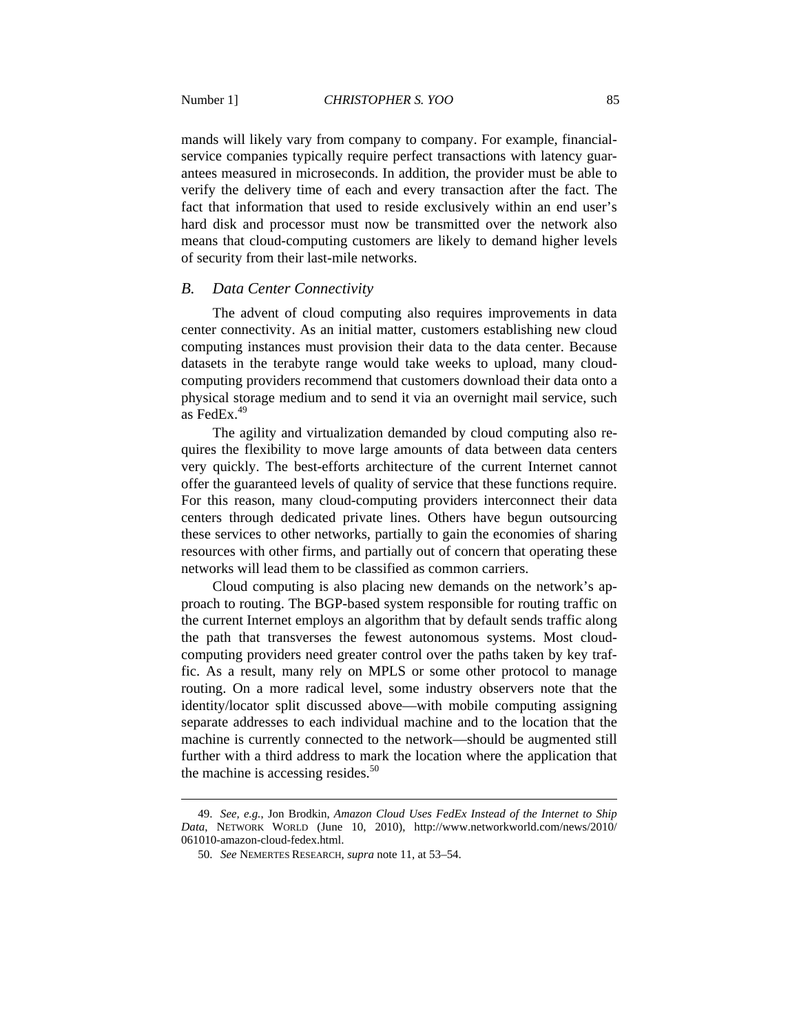mands will likely vary from company to company. For example, financialservice companies typically require perfect transactions with latency guarantees measured in microseconds. In addition, the provider must be able to verify the delivery time of each and every transaction after the fact. The fact that information that used to reside exclusively within an end user's hard disk and processor must now be transmitted over the network also means that cloud-computing customers are likely to demand higher levels of security from their last-mile networks.

#### *B. Data Center Connectivity*

The advent of cloud computing also requires improvements in data center connectivity. As an initial matter, customers establishing new cloud computing instances must provision their data to the data center. Because datasets in the terabyte range would take weeks to upload, many cloudcomputing providers recommend that customers download their data onto a physical storage medium and to send it via an overnight mail service, such as FedEx $49$ 

The agility and virtualization demanded by cloud computing also requires the flexibility to move large amounts of data between data centers very quickly. The best-efforts architecture of the current Internet cannot offer the guaranteed levels of quality of service that these functions require. For this reason, many cloud-computing providers interconnect their data centers through dedicated private lines. Others have begun outsourcing these services to other networks, partially to gain the economies of sharing resources with other firms, and partially out of concern that operating these networks will lead them to be classified as common carriers.

Cloud computing is also placing new demands on the network's approach to routing. The BGP-based system responsible for routing traffic on the current Internet employs an algorithm that by default sends traffic along the path that transverses the fewest autonomous systems. Most cloudcomputing providers need greater control over the paths taken by key traffic. As a result, many rely on MPLS or some other protocol to manage routing. On a more radical level, some industry observers note that the identity/locator split discussed above—with mobile computing assigning separate addresses to each individual machine and to the location that the machine is currently connected to the network—should be augmented still further with a third address to mark the location where the application that the machine is accessing resides. $50$ 

 <sup>49.</sup> *See, e.g.*, Jon Brodkin, *Amazon Cloud Uses FedEx Instead of the Internet to Ship Data*, NETWORK WORLD (June 10, 2010), http://www.networkworld.com/news/2010/ 061010-amazon-cloud-fedex.html.

 <sup>50.</sup> *See* NEMERTES RESEARCH, *supra* note 11, at 53–54.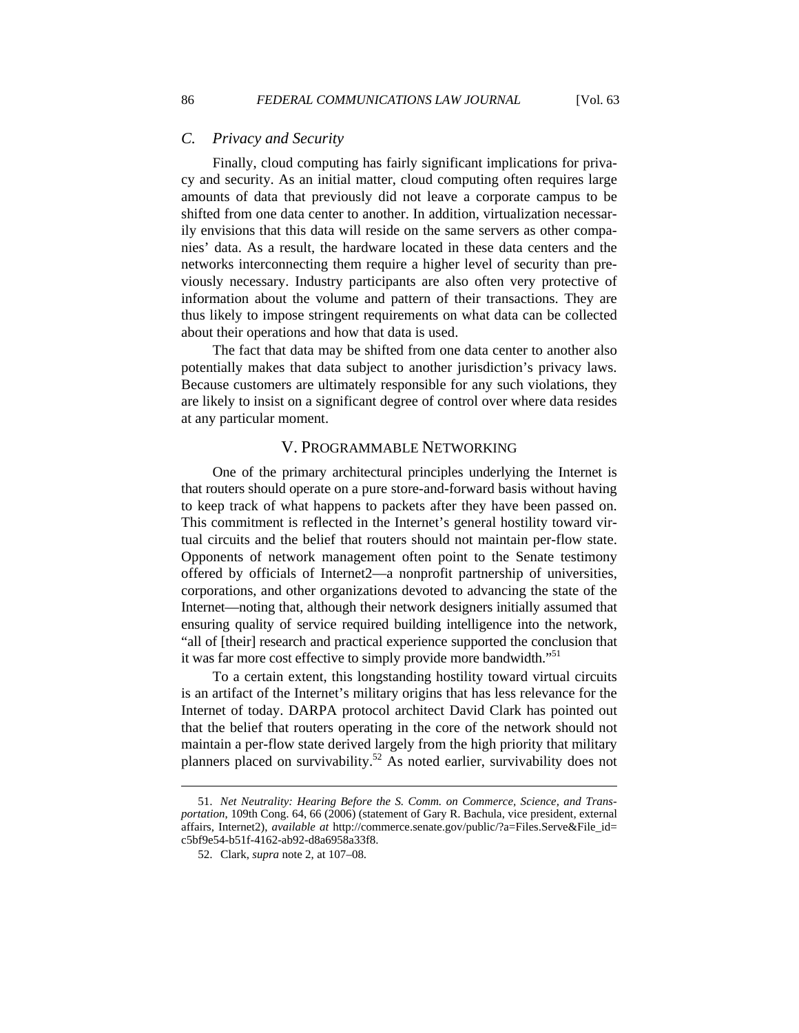# *C. Privacy and Security*

Finally, cloud computing has fairly significant implications for privacy and security. As an initial matter, cloud computing often requires large amounts of data that previously did not leave a corporate campus to be shifted from one data center to another. In addition, virtualization necessarily envisions that this data will reside on the same servers as other companies' data. As a result, the hardware located in these data centers and the networks interconnecting them require a higher level of security than previously necessary. Industry participants are also often very protective of information about the volume and pattern of their transactions. They are thus likely to impose stringent requirements on what data can be collected about their operations and how that data is used.

The fact that data may be shifted from one data center to another also potentially makes that data subject to another jurisdiction's privacy laws. Because customers are ultimately responsible for any such violations, they are likely to insist on a significant degree of control over where data resides at any particular moment.

# V. PROGRAMMABLE NETWORKING

One of the primary architectural principles underlying the Internet is that routers should operate on a pure store-and-forward basis without having to keep track of what happens to packets after they have been passed on. This commitment is reflected in the Internet's general hostility toward virtual circuits and the belief that routers should not maintain per-flow state. Opponents of network management often point to the Senate testimony offered by officials of Internet2—a nonprofit partnership of universities, corporations, and other organizations devoted to advancing the state of the Internet—noting that, although their network designers initially assumed that ensuring quality of service required building intelligence into the network, "all of [their] research and practical experience supported the conclusion that it was far more cost effective to simply provide more bandwidth."<sup>51</sup>

To a certain extent, this longstanding hostility toward virtual circuits is an artifact of the Internet's military origins that has less relevance for the Internet of today. DARPA protocol architect David Clark has pointed out that the belief that routers operating in the core of the network should not maintain a per-flow state derived largely from the high priority that military planners placed on survivability.52 As noted earlier, survivability does not

 <sup>51.</sup> *Net Neutrality: Hearing Before the S. Comm. on Commerce, Science, and Transportation*, 109th Cong. 64, 66 (2006) (statement of Gary R. Bachula, vice president, external affairs, Internet2), *available at* http://commerce.senate.gov/public/?a=Files.Serve&File\_id= c5bf9e54-b51f-4162-ab92-d8a6958a33f8.

 <sup>52.</sup> Clark, *supra* note 2, at 107–08.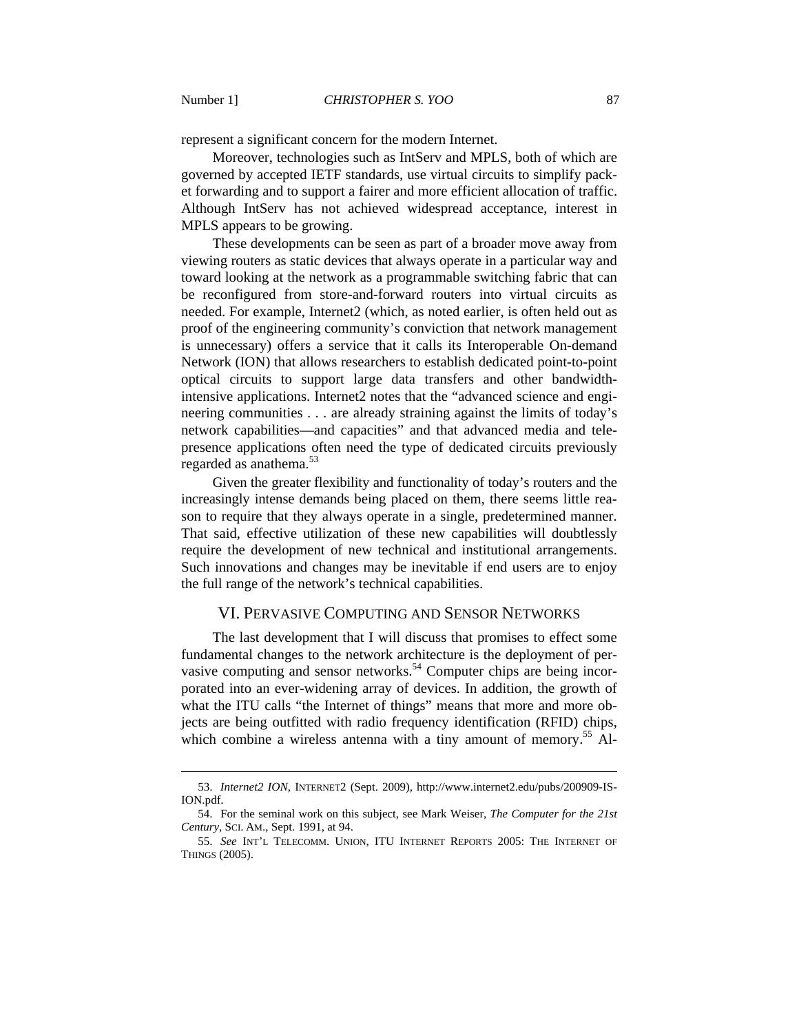represent a significant concern for the modern Internet.

Moreover, technologies such as IntServ and MPLS, both of which are governed by accepted IETF standards, use virtual circuits to simplify packet forwarding and to support a fairer and more efficient allocation of traffic. Although IntServ has not achieved widespread acceptance, interest in MPLS appears to be growing.

These developments can be seen as part of a broader move away from viewing routers as static devices that always operate in a particular way and toward looking at the network as a programmable switching fabric that can be reconfigured from store-and-forward routers into virtual circuits as needed. For example, Internet2 (which, as noted earlier, is often held out as proof of the engineering community's conviction that network management is unnecessary) offers a service that it calls its Interoperable On-demand Network (ION) that allows researchers to establish dedicated point-to-point optical circuits to support large data transfers and other bandwidthintensive applications. Internet2 notes that the "advanced science and engineering communities . . . are already straining against the limits of today's network capabilities—and capacities" and that advanced media and telepresence applications often need the type of dedicated circuits previously regarded as anathema.<sup>53</sup>

Given the greater flexibility and functionality of today's routers and the increasingly intense demands being placed on them, there seems little reason to require that they always operate in a single, predetermined manner. That said, effective utilization of these new capabilities will doubtlessly require the development of new technical and institutional arrangements. Such innovations and changes may be inevitable if end users are to enjoy the full range of the network's technical capabilities.

## VI. PERVASIVE COMPUTING AND SENSOR NETWORKS

The last development that I will discuss that promises to effect some fundamental changes to the network architecture is the deployment of pervasive computing and sensor networks.<sup>54</sup> Computer chips are being incorporated into an ever-widening array of devices. In addition, the growth of what the ITU calls "the Internet of things" means that more and more objects are being outfitted with radio frequency identification (RFID) chips, which combine a wireless antenna with a tiny amount of memory.<sup>55</sup> Al-

 <sup>53.</sup> *Internet2 ION*, INTERNET2 (Sept. 2009), http://www.internet2.edu/pubs/200909-IS-ION.pdf.

 <sup>54.</sup> For the seminal work on this subject, see Mark Weiser, *The Computer for the 21st Century*, SCI. AM., Sept. 1991, at 94.

 <sup>55.</sup> *See* INT'L TELECOMM. UNION, ITU INTERNET REPORTS 2005: THE INTERNET OF THINGS (2005).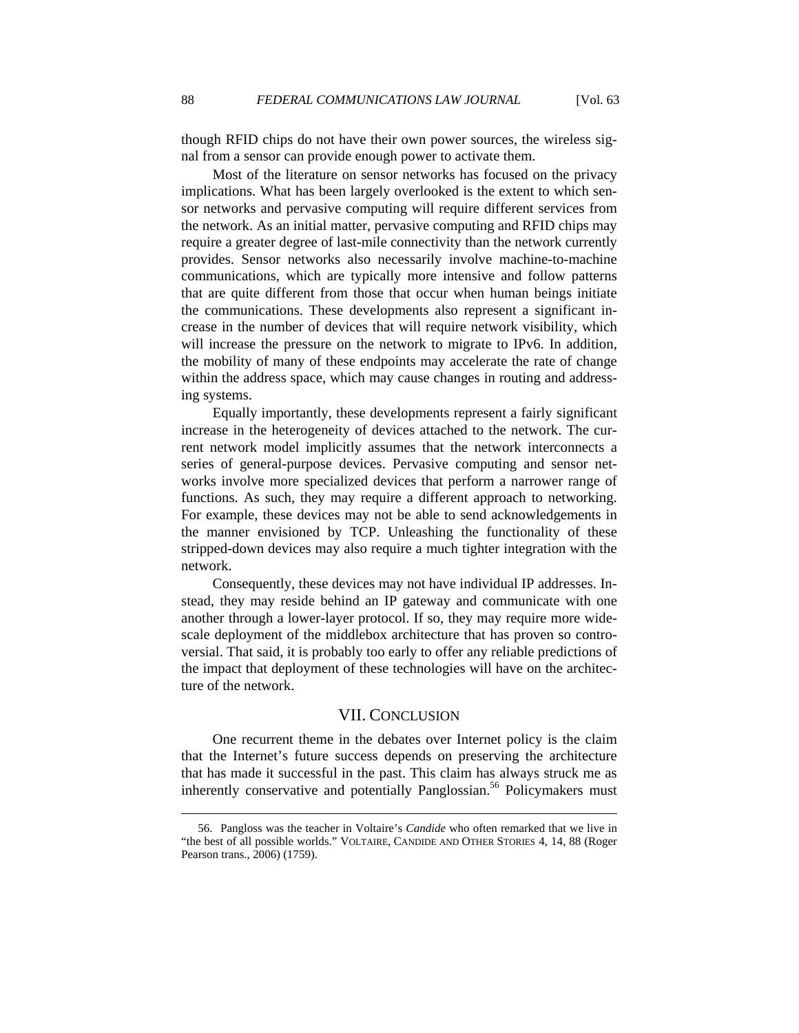though RFID chips do not have their own power sources, the wireless signal from a sensor can provide enough power to activate them.

Most of the literature on sensor networks has focused on the privacy implications. What has been largely overlooked is the extent to which sensor networks and pervasive computing will require different services from the network. As an initial matter, pervasive computing and RFID chips may require a greater degree of last-mile connectivity than the network currently provides. Sensor networks also necessarily involve machine-to-machine communications, which are typically more intensive and follow patterns that are quite different from those that occur when human beings initiate the communications. These developments also represent a significant increase in the number of devices that will require network visibility, which will increase the pressure on the network to migrate to IPv6. In addition, the mobility of many of these endpoints may accelerate the rate of change within the address space, which may cause changes in routing and addressing systems.

Equally importantly, these developments represent a fairly significant increase in the heterogeneity of devices attached to the network. The current network model implicitly assumes that the network interconnects a series of general-purpose devices. Pervasive computing and sensor networks involve more specialized devices that perform a narrower range of functions. As such, they may require a different approach to networking. For example, these devices may not be able to send acknowledgements in the manner envisioned by TCP. Unleashing the functionality of these stripped-down devices may also require a much tighter integration with the network.

Consequently, these devices may not have individual IP addresses. Instead, they may reside behind an IP gateway and communicate with one another through a lower-layer protocol. If so, they may require more widescale deployment of the middlebox architecture that has proven so controversial. That said, it is probably too early to offer any reliable predictions of the impact that deployment of these technologies will have on the architecture of the network.

## VII. CONCLUSION

One recurrent theme in the debates over Internet policy is the claim that the Internet's future success depends on preserving the architecture that has made it successful in the past. This claim has always struck me as inherently conservative and potentially Panglossian.<sup>56</sup> Policymakers must

 <sup>56.</sup> Pangloss was the teacher in Voltaire's *Candide* who often remarked that we live in "the best of all possible worlds." VOLTAIRE, CANDIDE AND OTHER STORIES 4, 14, 88 (Roger Pearson trans., 2006) (1759).